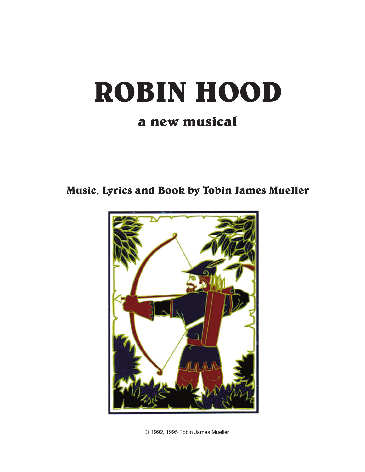# **ROBIN HOOD a new musical**

**Music, Lyrics and Book by Tobin James Mueller**



© 1992, 1995 Tobin James Mueller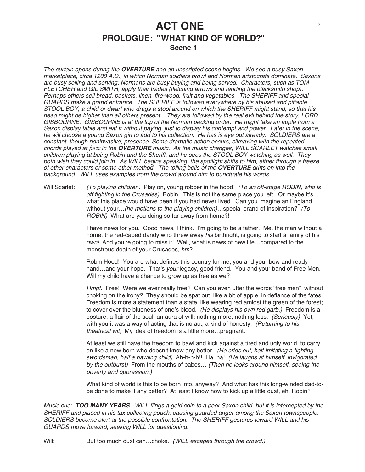### **ACT ONE PROLOGUE: "WHAT KIND OF WORLD?" Scene 1**

The curtain opens during the **OVERTURE** and an unscripted scene begins. We see <sup>a</sup> busy Saxon marketplace, circa 1200 A.D., in which Norman soldiers prowl and Norman aristocrats dominate. Saxons are busy selling and serving; Normans are busy buying and being served. Characters, such as TOM FLETCHER and GIL SMITH, apply their trades (fletching arrows and tending the blacksmith shop). Perhaps others sell bread, baskets, linen, fire-wood, fruit and vegetables. The SHERIFF and special GUARDS make <sup>a</sup> grand entrance. The SHERIFF is followed everywhere by his abused and pitiable STOOL BOY, <sup>a</sup> child or dwarf who drags <sup>a</sup> stool around on which the SHERIFF might stand, so that his head might be higher than all others present. They are followed by the real evil behind the story, LORD GISBOURNE. GISBOURNE is at the top of the Norman pecking order. He might take an apple from <sup>a</sup> Saxon display table and eat it without paying, just to display his contempt and power. Later in the scene, he will choose <sup>a</sup> young Saxon girl to add to his collection. He has is eye out already. SOLDIERS are <sup>a</sup> constant, though noninvasive, presence. Some dramatic action occurs, climaxing with the repeated chords played at *forte* in the **OVERTURE** music. As the music changes, WILL SCARLET watches small children playing at being Robin and the Sheriff, and he sees the STOOL BOY watching as well. They both wish they could join in. As WILL begins speaking, the spotlight shifts to him, either through <sup>a</sup> freeze of other characters or some other method. The tolling bells of the **OVERTURE** drifts on into the background. WILL uses examples from the crowd around him to punctuate his words.

Will Scarlet: (To playing children) Play on, young robber in the hood! (To an off-stage ROBIN, who is off fighting in the Crusades) Robin. This is not the same place you left. Or maybe it's what this place would have been if you had never lived. Can you imagine an England without your...(he motions to the playing children)...special brand of inspiration? (To ROBIN) What are you doing so far away from home?!

> I have news for you. Good news, I think. I'm going to be a father. Me, the man without a home, the red-caped dandy who threw away his birthright, is going to start a family of his own! And you're going to miss it! Well, what is news of new life...compared to the monstrous death of your Crusades, hm?

> Robin Hood! You are what defines this country for me; you and your bow and ready hand...and your hope. That's your legacy, good friend. You and your band of Free Men. Will my child have a chance to grow up as free as we?

Hmpf. Free! Were we ever really free? Can you even utter the words "free men" without choking on the irony? They should be spat out, like a bit of apple, in defiance of the fates. Freedom is more a statement than a state, like wearing red amidst the green of the forest; to cover over the blueness of one's blood. (He displays his own red garb.) Freedom is a posture, a flair of the soul, an aura of will; nothing more, nothing less. (Seriously) Yet, with you it was a way of acting that is no act; a kind of honesty. (Returning to his theatrical wit) My idea of freedom is a little more…pregnant.

At least we still have the freedom to bawl and kick against a tired and ugly world, to carry on like a new born who doesn't know any better. (He cries out, half imitating a fighting swordsman, half <sup>a</sup> bawling child) Ah-h-h-h!! Ha, ha! (He laughs at himself, invigorated by the outburst) From the mouths of babes… (Then he looks around himself, seeing the poverty and oppression.)

What kind of world is this to be born into, anyway? And what has this long-winded dad-tobe done to make it any better? At least I know how to kick up a little dust, eh, Robin?

Music cue: **TOO MANY YEARS**. WILL flings <sup>a</sup> gold coin to <sup>a</sup> poor Saxon child, but it is intercepted by the SHERIFF and placed in his tax collecting pouch, causing guarded anger among the Saxon townspeople. SOLDIERS become alert at the possible confrontation. The SHERIFF gestures toward WILL and his GUARDS move forward, seeking WILL for questioning.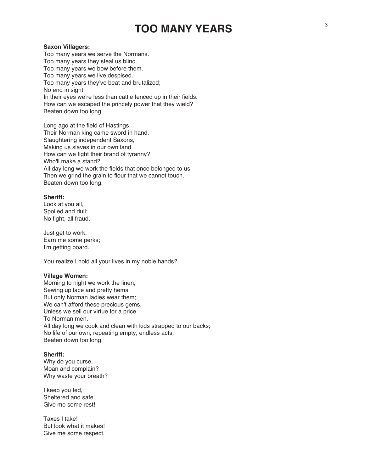## **TOO MANY YEARS**

#### **Saxon Villagers:**

Too many years we serve the Normans. Too many years they steal us blind. Too many years we bow before them. Too many years we live despised. Too many years they've beat and brutalized; No end in sight. In their eyes we're less than cattle fenced up in their fields. How can we escaped the princely power that they wield? Beaten down too long.

Long ago at the field of Hastings Their Norman king came sword in hand, Slaughtering independent Saxons, Making us slaves in our own land. How can we fight their brand of tyranny? Who'll make a stand? All day long we work the fields that once belonged to us, Then we grind the grain to flour that we cannot touch. Beaten down too long.

#### **Sheriff:**

Look at you all, Spoiled and dull; No fight, all fraud.

Just get to work, Earn me some perks; I'm getting board.

You realize I hold all your lives in my noble hands?

#### **Village Women:**

Morning to night we work the linen, Sewing up lace and pretty hems. But only Norman ladies wear them; We can't afford these precious gems, Unless we sell our virtue for a price To Norman men. All day long we cook and clean with kids strapped to our backs; No life of our own, repeating empty, endless acts. Beaten down too long.

#### **Sheriff:**

Why do you curse, Moan and complain? Why waste your breath?

I keep you fed, Sheltered and safe. Give me some rest!

Taxes I take! But look what it makes! Give me some respect.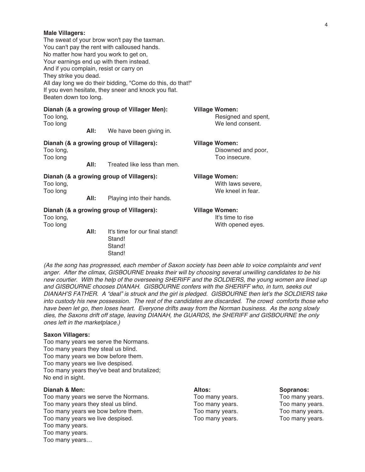| And if you complain, resist or carry on<br>They strike you dead.<br>Beaten down too long. |      | The sweat of your brow won't pay the taxman.<br>You can't pay the rent with calloused hands.<br>No matter how hard you work to get on,<br>Your earnings end up with them instead.<br>All day long we do their bidding, "Come do this, do that!"<br>If you even hesitate, they sneer and knock you flat. |                                                                  |
|-------------------------------------------------------------------------------------------|------|---------------------------------------------------------------------------------------------------------------------------------------------------------------------------------------------------------------------------------------------------------------------------------------------------------|------------------------------------------------------------------|
| Too long,<br>Too long                                                                     | All: | Dianah (& a growing group of Villager Men):<br>We have been giving in.                                                                                                                                                                                                                                  | <b>Village Women:</b><br>Resigned and spent,<br>We lend consent. |
| Too long,<br>Too long                                                                     | All: | Dianah (& a growing group of Villagers):<br>Treated like less than men.                                                                                                                                                                                                                                 | <b>Village Women:</b><br>Disowned and poor,<br>Too insecure.     |
| Too long,<br>Too long                                                                     | All: | Dianah (& a growing group of Villagers):<br>Playing into their hands.                                                                                                                                                                                                                                   | <b>Village Women:</b><br>With laws severe,<br>We kneel in fear.  |
| Dianah (& a growing group of Villagers):<br>Too long,<br>Too long                         |      |                                                                                                                                                                                                                                                                                                         | <b>Village Women:</b><br>It's time to rise<br>With opened eyes.  |
|                                                                                           | All: | It's time for our final stand!<br>Stand!<br>Stand!<br>Stand!                                                                                                                                                                                                                                            |                                                                  |

(As the song has progressed, each member of Saxon society has been able to voice complaints and vent anger. After the climax, GISBOURNE breaks their will by choosing several unwilling candidates to be his new courtier. With the help of the overseeing SHERIFF and the SOLDIERS, the young women are lined up and GISBOURNE chooses DIANAH. GISBOURNE confers with the SHERIFF who, in turn, seeks out DIANAH'S FATHER. A "deal" is struck and the girl is pledged. GISBOURNE then let's the SOLDIERS take into custody his new possession. The rest of the candidates are discarded. The crowd comforts those who have been let go, then loses heart. Everyone drifts away from the Norman business. As the song slowly dies, the Saxons drift off stage, leaving DIANAH, the GUARDS, the SHERIFF and GISBOURNE the only ones left in the marketplace.)

#### **Saxon Villagers:**

**Male Villagers:**

Too many years we serve the Normans. Too many years they steal us blind. Too many years we bow before them. Too many years we live despised. Too many years they've beat and brutalized; No end in sight.

#### **Dianah & Men: Altos: Sopranos:**

Too many years we serve the Normans. Too many years. Too many years. Too many years they steal us blind. Too many years. Too many years. Too many years we bow before them. Too many years. Too many years. Too many years we live despised. Too many years. Too many years. Too many years. Too many years. Too many years…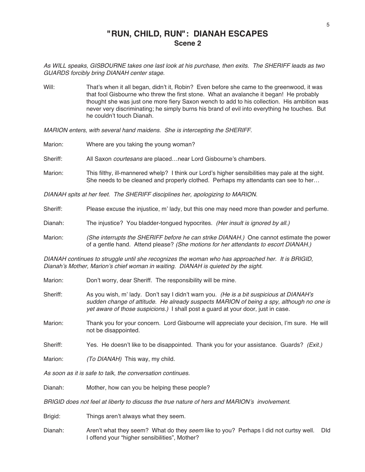### **"RUN, CHILD, RUN": DIANAH ESCAPES Scene 2**

As WILL speaks, GISBOURNE takes one last look at his purchase, then exits. The SHERIFF leads as two GUARDS forcibly bring DIANAH center stage.

Will: That's when it all began, didn't it, Robin? Even before she came to the greenwood, it was that fool Gisbourne who threw the first stone. What an avalanche it began! He probably thought she was just one more fiery Saxon wench to add to his collection. His ambition was never very discriminating; he simply burns his brand of evil into everything he touches. But he couldn't touch Dianah.

MARION enters, with several hand maidens. She is intercepting the SHERIFF.

| Marion:                                                                       | Where are you taking the young woman?                                                                                                                                                 |  |
|-------------------------------------------------------------------------------|---------------------------------------------------------------------------------------------------------------------------------------------------------------------------------------|--|
| Sheriff:                                                                      | All Saxon <i>courtesans</i> are placednear Lord Gisbourne's chambers.                                                                                                                 |  |
| Marion:                                                                       | This filthy, ill-mannered whelp? I think our Lord's higher sensibilities may pale at the sight.<br>She needs to be cleaned and properly clothed. Perhaps my attendants can see to her |  |
| DIANAH spits at her feet. The SHERIFF disciplines her, apologizing to MARION. |                                                                                                                                                                                       |  |
| Sheriff:                                                                      | Please excuse the injustice, m' lady, but this one may need more than powder and perfume.                                                                                             |  |
| Dianah:                                                                       | The injustice? You bladder-tongued hypocrites. (Her insult is ignored by all.)                                                                                                        |  |

Marion: (She interrupts the SHERIFF before he can strike DIANAH.) One cannot estimate the power of a gentle hand. Attend please? (She motions for her attendants to escort DIANAH.)

DIANAH continues to struggle until she recognizes the woman who has approached her. It is BRIGID, Dianah's Mother, Marion's chief woman in waiting. DIANAH is quieted by the sight.

- Marion: Don't worry, dear Sheriff. The responsibility will be mine.
- Sheriff: As you wish, m' lady. Don't say I didn't warn you. (He is a bit suspicious at DIANAH's sudden change of attitude. He already suspects MARION of being <sup>a</sup> spy, although no one is yet aware of those suspicions.) I shall post a guard at your door, just in case.
- Marion: Thank you for your concern. Lord Gisbourne will appreciate your decision, I'm sure. He will not be disappointed.
- Sheriff: Yes. He doesn't like to be disappointed. Thank you for your assistance. Guards? (Exit.)

Marion: (To DIANAH) This way, my child.

As soon as it is safe to talk, the conversation continues.

Dianah: Mother, how can you be helping these people?

BRIGID does not feel at liberty to discuss the true nature of hers and MARION's involvement.

Brigid: Things aren't always what they seem.

Dianah: Aren't what they seem? What do they seem like to you? Perhaps I did not curtsy well. Did I offend your "higher sensibilities", Mother?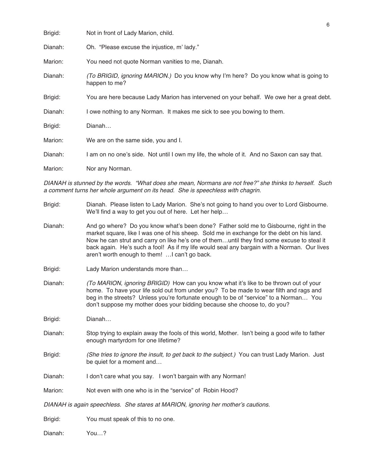| Brigid: | Not in front of Lady Marion, child.                                                                   |
|---------|-------------------------------------------------------------------------------------------------------|
| Dianah: | Oh. "Please excuse the injustice, m' lady."                                                           |
| Marion: | You need not quote Norman vanities to me, Dianah.                                                     |
| Dianah: | (To BRIGID, ignoring MARION.) Do you know why I'm here? Do you know what is going to<br>happen to me? |
| Brigid: | You are here because Lady Marion has intervened on your behalf. We owe her a great debt.              |
| Dianah: | I owe nothing to any Norman. It makes me sick to see you bowing to them.                              |
| Brigid: | Dianah                                                                                                |
| Marion: | We are on the same side, you and I.                                                                   |
| Dianah: | I am on no one's side. Not until I own my life, the whole of it. And no Saxon can say that.           |
| Marion: | Nor any Norman.                                                                                       |

DIANAH is stunned by the words. "What does she mean, Normans are not free?" she thinks to herself. Such <sup>a</sup> comment turns her whole argument on its head. She is speechless with chagrin.

- Brigid: Dianah. Please listen to Lady Marion. She's not going to hand you over to Lord Gisbourne. We'll find a way to get you out of here. Let her help…
- Dianah: And go where? Do you know what's been done? Father sold me to Gisbourne, right in the market square, like I was one of his sheep. Sold me in exchange for the debt on his land. Now he can strut and carry on like he's one of them…until they find some excuse to steal it back again. He's such a fool! As if my life would seal any bargain with a Norman. Our lives aren't worth enough to them! …I can't go back.
- Brigid: Lady Marion understands more than…
- Dianah: (To MARION, ignoring BRIGID) How can you know what it's like to be thrown out of your home. To have your life sold out from under you? To be made to wear filth and rags and beg in the streets? Unless you're fortunate enough to be of "service" to a Norman… You don't suppose my mother does your bidding because she choose to, do you?

Brigid: Dianah…

- Dianah: Stop trying to explain away the fools of this world, Mother. Isn't being a good wife to father enough martyrdom for one lifetime?
- Brigid: (She tries to ignore the insult, to get back to the subject.) You can trust Lady Marion. Just be quiet for a moment and…
- Dianah: I don't care what you say. I won't bargain with any Norman!
- Marion: Not even with one who is in the "service" of Robin Hood?

DIANAH is again speechless. She stares at MARION, ignoring her mother's cautions.

Brigid: You must speak of this to no one.

Dianah: You…?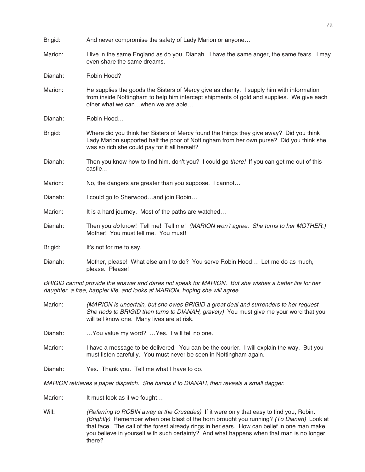| Brigid: | And never compromise the safety of Lady Marion or anyone                                                                                                                                                                            |
|---------|-------------------------------------------------------------------------------------------------------------------------------------------------------------------------------------------------------------------------------------|
| Marion: | I live in the same England as do you, Dianah. I have the same anger, the same fears. I may<br>even share the same dreams.                                                                                                           |
| Dianah: | Robin Hood?                                                                                                                                                                                                                         |
| Marion: | He supplies the goods the Sisters of Mercy give as charity. I supply him with information<br>from inside Nottingham to help him intercept shipments of gold and supplies. We give each<br>other what we canwhen we are able         |
| Dianah: | Robin Hood                                                                                                                                                                                                                          |
| Brigid: | Where did you think her Sisters of Mercy found the things they give away? Did you think<br>Lady Marion supported half the poor of Nottingham from her own purse? Did you think she<br>was so rich she could pay for it all herself? |
| Dianah: | Then you know how to find him, don't you? I could go there! If you can get me out of this<br>castle                                                                                                                                 |
| Marion: | No, the dangers are greater than you suppose. I cannot                                                                                                                                                                              |
| Dianah: | I could go to Sherwoodand join Robin                                                                                                                                                                                                |
| Marion: | It is a hard journey. Most of the paths are watched                                                                                                                                                                                 |
| Dianah: | Then you do know! Tell me! Tell me! (MARION won't agree. She turns to her MOTHER.)<br>Mother! You must tell me. You must!                                                                                                           |
| Brigid: | It's not for me to say.                                                                                                                                                                                                             |
| Dianah: | Mother, please! What else am I to do? You serve Robin Hood Let me do as much,<br>please. Please!                                                                                                                                    |

BRIGID cannot provide the answer and dares not speak for MARION. But she wishes <sup>a</sup> better life for her daughter, <sup>a</sup> free, happier life, and looks at MARION, hoping she will agree.

Marion: (MARION is uncertain, but she owes BRIGID a great deal and surrenders to her request. She nods to BRIGID then turns to DIANAH, gravely) You must give me your word that you will tell know one. Many lives are at risk.

Dianah: ... You value my word? ... Yes. I will tell no one.

- Marion: I have a message to be delivered. You can be the courier. I will explain the way. But you must listen carefully. You must never be seen in Nottingham again.
- Dianah: Yes. Thank you. Tell me what I have to do.

MARION retrieves <sup>a</sup> paper dispatch. She hands it to DIANAH, then reveals <sup>a</sup> small dagger.

Marion: It must look as if we fought...

Will: (Referring to ROBIN away at the Crusades) If it were only that easy to find you, Robin. (Brightly) Remember when one blast of the horn brought you running? (To Dianah) Look at that face. The call of the forest already rings in her ears. How can belief in one man make you believe in yourself with such certainty? And what happens when that man is no longer there?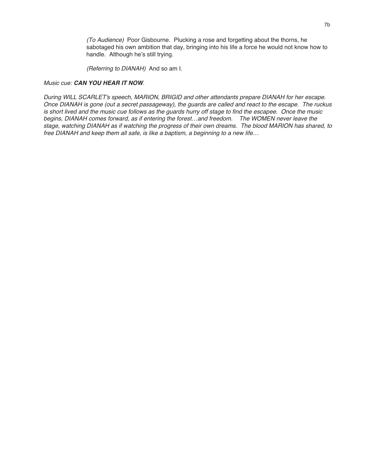(To Audience) Poor Gisbourne. Plucking a rose and forgetting about the thorns, he sabotaged his own ambition that day, bringing into his life a force he would not know how to handle. Although he's still trying.

(Referring to DIANAH) And so am I.

#### Music cue: **CAN YOU HEAR IT NOW**.

During WILL SCARLET's speech, MARION, BRIGID and other attendants prepare DIANAH for her escape. Once DIANAH is gone (out <sup>a</sup> secret passageway), the guards are called and react to the escape. The ruckus is short lived and the music cue follows as the guards hurry off stage to find the escapee. Once the music begins, DIANAH comes forward, as if entering the forest…and freedom. The WOMEN never leave the stage, watching DIANAH as if watching the progress of their own dreams. The blood MARION has shared, to free DIANAH and keep them all safe, is like <sup>a</sup> baptism, <sup>a</sup> beginning to <sup>a</sup> new life…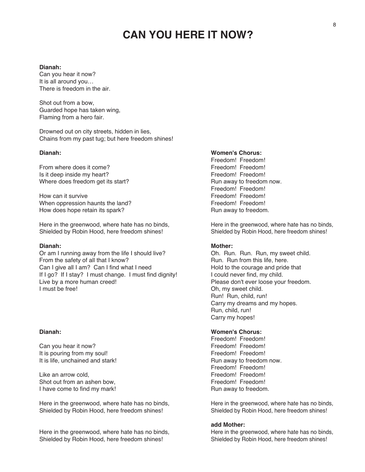## **CAN YOU HERE IT NOW?**

#### **Dianah:**

Can you hear it now? It is all around you… There is freedom in the air.

Shot out from a bow, Guarded hope has taken wing, Flaming from a hero fair.

Drowned out on city streets, hidden in lies, Chains from my past tug; but here freedom shines!

From where does it come?<br>
Is it deep inside my heart?<br>
Is it deep inside my heart?<br>
Freedom! Freedom! Is it deep inside my heart? Where does freedom get its start? The real control of the Run away to freedom now.

How can it survive **Freedom!** Freedom! Freedom! When oppression haunts the land? Freedom! Freedom! Freedom! How does hope retain its spark? The state of the Run away to freedom.

Here in the greenwood, where hate has no binds, Here in the greenwood, where hate has no binds, Shielded by Robin Hood, here freedom shines! Shielded by Robin Hood, here freedom shines!

Or am I running away from the life I should live? Oh. Run. Run. Run, my sweet child.<br>
From the safety of all that I know? Run. Run from this life, here. From the safety of all that I know? Can I give all I am? Can I find what I need Hold to the courage and pride that If I go? If I stay? I must change. I must find dignity! I could never find, my child.<br>Live by a more human creed! Please don't ever loose you Live by a more human creed!<br>
I must be free!<br>
I must be free!<br>
Oh, my sweet child.

Can you hear it now? It is pouring from my soul! The same state of the set of the set of the set of the set of the set of the set of the set of the set of the set of the set of the set of the set of the set of the set of the set of the set of It is life, unchained and stark! The state of the Run away to freedom now.

Like an arrow cold. The state of the state of the state of the Freedom! Freedom! Shot out from an ashen bow, The Shot out freedom! Freedom! I have come to find my mark! Run away to freedom.

Here in the greenwood, where hate has no binds, Here in the greenwood, where hate has no binds, Shielded by Robin Hood, here freedom shines! Shielded by Robin Hood, here freedom shines!

Here in the greenwood, where hate has no binds, Here in the greenwood, where hate has no binds, Shielded by Robin Hood, here freedom shines! Shielded by Robin Hood, here freedom shines!

#### **Dianah: Women's Chorus:**

Freedom! Freedom!<br>Freedom! Freedom! Freedom! Freedom!

#### **Dianah: Mother:**

Oh, my sweet child. Run! Run, child, run! Carry my dreams and my hopes. Run, child, run! Carry my hopes!

#### **Dianah: Women's Chorus:**

Freedom! Freedom!<br>Freedom! Freedom! Freedom! Freedom!

#### **add Mother:**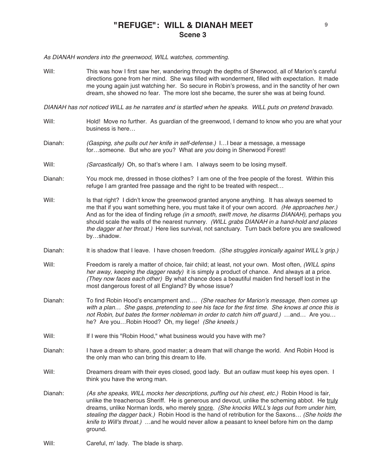### **"REFUGE": WILL & DIANAH MEET Scene 3**

As DIANAH wonders into the greenwood, WILL watches, commenting.

Will: This was how I first saw her, wandering through the depths of Sherwood, all of Marion's careful directions gone from her mind. She was filled with wonderment, filled with expectation. It made me young again just watching her. So secure in Robin's prowess, and in the sanctity of her own dream, she showed no fear. The more lost she became, the surer she was at being found.

DIANAH has not noticed WILL as he narrates and is startled when he speaks. WILL puts on pretend bravado.

- Will: Hold! Move no further. As guardian of the greenwood, I demand to know who you are what your business is here…
- Dianah: (Gasping, she pulls out her knife in self-defense.) I…I bear a message, a message for...someone. But who are you? What are you doing in Sherwood Forest!
- Will: (Sarcastically) Oh, so that's where I am. I always seem to be losing myself.
- Dianah: You mock me, dressed in those clothes? I am one of the free people of the forest. Within this refuge I am granted free passage and the right to be treated with respect…
- Will: Is that right? I didn't know the greenwood granted anyone anything. It has always seemed to me that if you want something here, you must take it of your own accord. (He approaches her.) And as for the idea of finding refuge *(in a smooth, swift move, he disarms DIANAH)*, perhaps you should scale the walls of the nearest nunnery. (WILL grabs DIANAH in a hand-hold and places the dagger at her throat.) Here lies survival, not sanctuary. Turn back before you are swallowed by…shadow.
- Dianah: It is shadow that I leave. I have chosen freedom. (She struggles ironically against WILL's grip.)
- Will: Freedom is rarely a matter of choice, fair child; at least, not your own. Most often, (WILL spins her away, keeping the dagger ready) it is simply a product of chance. And always at a price. (They now faces each other) By what chance does a beautiful maiden find herself lost in the most dangerous forest of all England? By whose issue?
- Dianah: To find Robin Hood's encampment and.... (She reaches for Marion's message, then comes up with <sup>a</sup> plan… She gasps, pretending to see his face for the first time. She knows at once this is not Robin, but bates the former nobleman in order to catch him off guard.) …and… Are you… he? Are you...Robin Hood? Oh, my liege! (She kneels.)
- Will: If I were this "Robin Hood," what business would you have with me?
- Dianah: I have a dream to share, good master; a dream that will change the world. And Robin Hood is the only man who can bring this dream to life.
- Will: Dreamers dream with their eyes closed, good lady. But an outlaw must keep his eyes open. I think you have the wrong man.
- Dianah: (As she speaks, WILL mocks her descriptions, puffing out his chest, etc.) Robin Hood is fair, unlike the treacherous Sheriff. He is generous and devout, unlike the scheming abbot. He truly dreams, unlike Norman lords, who merely snore. (She knocks WILL's legs out from under him, stealing the dagger back.) Robin Hood is the hand of retribution for the Saxons… (She holds the knife to Will's throat.) ...and he would never allow a peasant to kneel before him on the damp ground.
- Will: Careful, m' lady. The blade is sharp.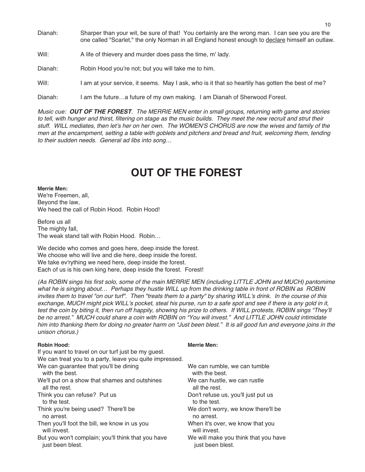- Dianah: Sharper than your wit, be sure of that! You certainly are the wrong man. I can see you are the one called "Scarlet," the only Norman in all England honest enough to declare himself an outlaw.
- Will: A life of thievery and murder does pass the time, m' lady.
- Dianah: Robin Hood you're not; but you will take me to him.
- Will: I am at your service, it seems. May I ask, who is it that so heartily has gotten the best of me?
- Dianah: I am the future…a future of my own making. I am Dianah of Sherwood Forest.

Music cue: **OUT OF THE FOREST**. The MERRIE MEN enter in small groups, returning with game and stories to tell, with hunger and thirst, filtering on stage as the music builds. They meet the new recruit and strut their stuff. WILL mediates, then let's her on her own. The WOMEN'S CHORUS are now the wives and family of the men at the encampment, setting <sup>a</sup> table with goblets and pitchers and bread and fruit, welcoming them, tending to their sudden needs. General ad libs into song…

## **OUT OF THE FOREST**

**Merrie Men:** We're Freemen, all, Beyond the law, We heed the call of Robin Hood. Robin Hood!

Before us all The mighty fall, The weak stand tall with Robin Hood. Robin…

We decide who comes and goes here, deep inside the forest. We choose who will live and die here, deep inside the forest. We take ev'rything we need here, deep inside the forest. Each of us is his own king here, deep inside the forest. Forest!

(As ROBIN sings his first solo, some of the main MERRIE MEN (including LITTLE JOHN and MUCH) pantomime what he is singing about… Perhaps they hustle WILL up from the drinking table in front of ROBIN as ROBIN invites them to travel "on our turf". Then "treats them to <sup>a</sup> party" by sharing WILL's drink. In the course of this exchange, MUCH might pick WILL's pocket, steal his purse, run to <sup>a</sup> safe spot and see if there is any gold in it, test the coin by biting it, then run off happily, showing his prize to others. If WILL protests, ROBIN sings "They'll be no arrest." MUCH could share a coin with ROBIN on "You will invest." And LITTLE JOHN could intimidate him into thanking them for doing no greater harm on "Just been blest." It is all good fun and everyone joins in the unison chorus.)

| If you want to travel on our turf just be my guest.     |                                      |
|---------------------------------------------------------|--------------------------------------|
| We can treat you to a party, leave you quite impressed. |                                      |
| We can guarantee that you'll be dining                  | We can rumble, we can tumble         |
| with the best.                                          | with the best.                       |
| We'll put on a show that shames and outshines           | We can hustle, we can rustle         |
| all the rest.                                           | all the rest.                        |
| Think you can refuse? Put us                            | Don't refuse us, you'll just put us  |
| to the test.                                            | to the test.                         |
| Think you're being used? There'll be                    | We don't worry, we know there'll be  |
| no arrest.                                              | no arrest.                           |
| Then you'll foot the bill, we know in us you            | When it's over, we know that you     |
| will invest.                                            | will invest.                         |
| But you won't complain; you'll think that you have      | We will make you think that you have |
| just been blest.                                        | just been blest.                     |
|                                                         |                                      |

#### **Robin Hood: Merrie Men:**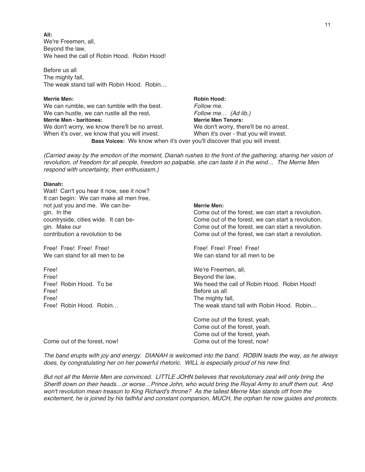**All:** We're Freemen, all, Beyond the law, We heed the call of Robin Hood. Robin Hood!

Before us all The mighty fall, The weak stand tall with Robin Hood. Robin…

**Merrie Men: Robin Hood: Robin Hood: Robin Hood: Robin Hood: Robin Hood: R** We can rumble, we can tumble with the best. Follow me. We can hustle, we can rustle all the rest. Follow me... (Ad lib.) **Merrie Men - baritones: Merrie Men Tenors:** We don't worry, we know there'll be no arrest. We don't worry, there'll be no arrest. When it's over, we know that you will invest. When it's over - that you will invest. **Bass Voices:** We know when it's over you'll discover that you will invest.

(Carried away by the emotion of the moment, Dianah rushes to the front of the gathering, sharing her vision of revolution, of freedom for all people, freedom so palpable, she can taste it in the wind… The Merrie Men respond with uncertainty, then enthusiasm.)

#### **Dianah:**

Wait! Can't you hear it now, see it now? It can begin: We can make all men free, not just you and me. We can be- **Merrie Men:**

Free! Free! Free! Free! Free! Free! Free! Free! Free! Free! Free! Free! Free! Free! Free! Free! Free! Tree! Tree! Tree! Tree! Tree! Tree! Tree! Tree! Tree! Tree! Tree! Tree! Tree! Tree! Tree! Tree! Tree! Tree! Tree! Tree! We can stand for all men to be

Free! We're Freemen, all, Free! Beyond the law, Free! Before us all a set of the model of the model of the model of the model of the model of the model of the model of the model of the model of the model of the model of the model of the model of the model of the model o Free! The mighty fall, Free! Robin Hood. Robin... The mighty fall, Free! Robin Hood. Robin...

gin. In the Come out of the forest, we can start a revolution. countryside, cities wide. It can be- Come out of the forest, we can start a revolution. gin. Make our Come out of the forest, we can start a revolution. contribution a revolution to be Come out of the forest, we can start a revolution.

Free! Robin Hood. To be We heed the call of Robin Hood. Robin Hood! The weak stand tall with Robin Hood. Robin...

> Come out of the forest, yeah. Come out of the forest, yeah. Come out of the forest, yeah.

Come out of the forest, now! Come out of the forest, now!

The band erupts with joy and energy. DIANAH is welcomed into the band. ROBIN leads the way, as he always does, by congratulating her on her powerful rhetoric. WILL is especially proud of his new find.

But not all the Merrie Men are convinced. LITTLE JOHN believes that revolutionary zeal will only bring the Sheriff down on their heads…or worse…Prince John, who would bring the Royal Army to snuff them out. And won't revolution mean treason to King Richard's throne? As the tallest Merrie Man stands off from the excitement, he is joined by his faithful and constant companion, MUCH, the orphan he now guides and protects.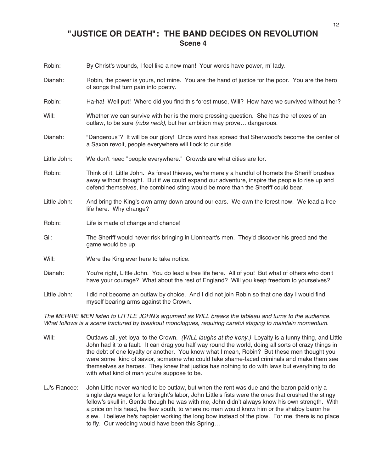### **"JUSTICE OR DEATH": THE BAND DECIDES ON REVOLUTION Scene 4**

- Robin: By Christ's wounds, I feel like a new man! Your words have power, m' lady.
- Dianah: Robin, the power is yours, not mine. You are the hand of justice for the poor. You are the hero of songs that turn pain into poetry.
- Robin: Ha-ha! Well put! Where did you find this forest muse, Will? How have we survived without her?
- Will: Whether we can survive with her is the more pressing question. She has the reflexes of an outlaw, to be sure (rubs neck), but her ambition may prove... dangerous.
- Dianah: "Dangerous"? It will be our glory! Once word has spread that Sherwood's become the center of a Saxon revolt, people everywhere will flock to our side.
- Little John: We don't need "people everywhere." Crowds are what cities are for.
- Robin: Think of it, Little John. As forest thieves, we're merely a handful of hornets the Sheriff brushes away without thought. But if we could expand our adventure, inspire the people to rise up and defend themselves, the combined sting would be more than the Sheriff could bear.
- Little John: And bring the King's own army down around our ears. We own the forest now. We lead a free life here. Why change?
- Robin: Life is made of change and chance!
- Gil: The Sheriff would never risk bringing in Lionheart's men. They'd discover his greed and the game would be up.
- Will: Were the King ever here to take notice.
- Dianah: You're right, Little John. You do lead a free life here. All of you! But what of others who don't have your courage? What about the rest of England? Will you keep freedom to yourselves?
- Little John: I did not become an outlaw by choice. And I did not join Robin so that one day I would find myself bearing arms against the Crown.

The MERRIE MEN listen to LITTLE JOHN's argument as WILL breaks the tableau and turns to the audience. What follows is <sup>a</sup> scene fractured by breakout monologues, requiring careful staging to maintain momentum.

- Will: Outlaws all, yet loyal to the Crown. (WILL laughs at the irony.) Loyalty is a funny thing, and Little John had it to a fault. It can drag you half way round the world, doing all sorts of crazy things in the debt of one loyalty or another. You know what I mean, Robin? But these men thought you were some kind of savior, someone who could take shame-faced criminals and make them see themselves as heroes. They knew that justice has nothing to do with laws but everything to do with what kind of man you're suppose to be.
- LJ's Fiancee: John Little never wanted to be outlaw, but when the rent was due and the baron paid only a single days wage for a fortnight's labor, John Little's fists were the ones that crushed the stingy fellow's skull in. Gentle though he was with me, John didn't always know his own strength. With a price on his head, he flew south, to where no man would know him or the shabby baron he slew. I believe he's happier working the long bow instead of the plow. For me, there is no place to fly. Our wedding would have been this Spring…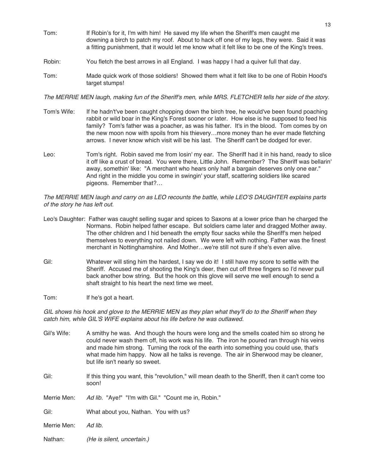- Tom: If Robin's for it, I'm with him! He saved my life when the Sheriff's men caught me downing a birch to patch my roof. About to hack off one of my legs, they were. Said it was a fitting punishment, that it would let me know what it felt like to be one of the King's trees.
- Robin: You fletch the best arrows in all England. I was happy I had a quiver full that day.
- Tom: Made quick work of those soldiers! Showed them what it felt like to be one of Robin Hood's target stumps!

The MERRIE MEN laugh, making fun of the Sheriff's men, while MRS. FLETCHER tells her side of the story.

- Tom's Wife: If he hadn't've been caught chopping down the birch tree, he would've been found poaching rabbit or wild boar in the King's Forest sooner or later. How else is he supposed to feed his family? Tom's father was a poacher, as was his father. It's in the blood. Tom comes by on the new moon now with spoils from his thievery…more money than he ever made fletching arrows. I never know which visit will be his last. The Sheriff can't be dodged for ever.
- Leo: Tom's right. Robin saved me from losin' my ear. The Sheriff had it in his hand, ready to slice it off like a crust of bread. You were there, Little John. Remember? The Sheriff was bellarin' away, somethin' like: "A merchant who hears only half a bargain deserves only one ear." And right in the middle you come in swingin' your staff, scattering soldiers like scared pigeons. Remember that?…

The MERRIE MEN laugh and carry on as LEO recounts the battle, while LEO'S DAUGHTER explains parts of the story he has left out.

- Leo's Daughter: Father was caught selling sugar and spices to Saxons at a lower price than he charged the Normans. Robin helped father escape. But soldiers came later and dragged Mother away. The other children and I hid beneath the empty flour sacks while the Sheriff's men helped themselves to everything not nailed down. We were left with nothing. Father was the finest merchant in Nottinghamshire. And Mother…we're still not sure if she's even alive.
- Gil: Whatever will sting him the hardest, I say we do it! I still have my score to settle with the Sheriff. Accused me of shooting the King's deer, then cut off three fingers so I'd never pull back another bow string. But the hook on this glove will serve me well enough to send a shaft straight to his heart the next time we meet.
- Tom: If he's got a heart.

GIL shows his hook and glove to the MERRIE MEN as they plan what they'll do to the Sheriff when they catch him, while GIL'S WIFE explains about his life before he was outlawed.

- Gil's Wife: A smithy he was. And though the hours were long and the smells coated him so strong he could never wash them off, his work was his life. The iron he poured ran through his veins and made him strong. Turning the rock of the earth into something you could use, that's what made him happy. Now all he talks is revenge. The air in Sherwood may be cleaner, but life isn't nearly so sweet.
- Gil: If this thing you want, this "revolution," will mean death to the Sheriff, then it can't come too soon!

Merrie Men: Ad lib. "Aye!" "I'm with Gil." "Count me in, Robin."

Gil: What about you, Nathan. You with us?

- Merrie Men: Ad lib.
- Nathan: (He is silent, uncertain.)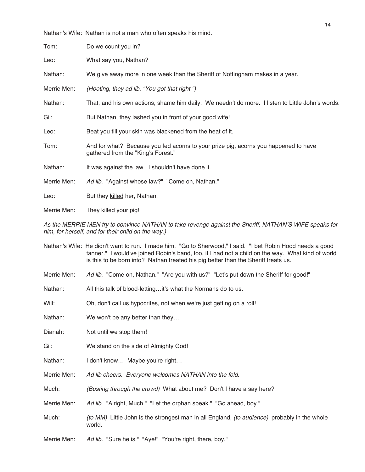|             | Nathan's Wife: Nathan is not a man who often speaks his mind.                                                             |
|-------------|---------------------------------------------------------------------------------------------------------------------------|
| Tom:        | Do we count you in?                                                                                                       |
| Leo:        | What say you, Nathan?                                                                                                     |
| Nathan:     | We give away more in one week than the Sheriff of Nottingham makes in a year.                                             |
| Merrie Men: | (Hooting, they ad lib. "You got that right.")                                                                             |
| Nathan:     | That, and his own actions, shame him daily. We needn't do more. I listen to Little John's words.                          |
| Gil:        | But Nathan, they lashed you in front of your good wife!                                                                   |
| Leo:        | Beat you till your skin was blackened from the heat of it.                                                                |
| Tom:        | And for what? Because you fed acorns to your prize pig, acorns you happened to have<br>gathered from the "King's Forest." |
| Nathan:     | It was against the law. I shouldn't have done it.                                                                         |
| Merrie Men: | Ad lib. "Against whose law?" "Come on, Nathan."                                                                           |
| Leo:        | But they killed her, Nathan.                                                                                              |
| Merrie Men: | They killed your pig!                                                                                                     |

As the MERRIE MEN try to convince NATHAN to take revenge against the Sheriff, NATHAN'S WIFE speaks for him, for herself, and for their child on the way.)

|             | Nathan's Wife: He didn't want to run. I made him. "Go to Sherwood," I said. "I bet Robin Hood needs a good<br>tanner." I would've joined Robin's band, too, if I had not a child on the way. What kind of world<br>is this to be born into? Nathan treated his pig better than the Sheriff treats us. |
|-------------|-------------------------------------------------------------------------------------------------------------------------------------------------------------------------------------------------------------------------------------------------------------------------------------------------------|
| Merrie Men: | Ad lib. "Come on, Nathan." "Are you with us?" "Let's put down the Sheriff for good!"                                                                                                                                                                                                                  |
| Nathan:     | All this talk of blood-lettingit's what the Normans do to us.                                                                                                                                                                                                                                         |
| Will:       | Oh, don't call us hypocrites, not when we're just getting on a roll!                                                                                                                                                                                                                                  |
| Nathan:     | We won't be any better than they                                                                                                                                                                                                                                                                      |
| Dianah:     | Not until we stop them!                                                                                                                                                                                                                                                                               |
| Gil:        | We stand on the side of Almighty God!                                                                                                                                                                                                                                                                 |
| Nathan:     | I don't know Maybe you're right                                                                                                                                                                                                                                                                       |
| Merrie Men: | Ad lib cheers. Everyone welcomes NATHAN into the fold.                                                                                                                                                                                                                                                |
| Much:       | (Busting through the crowd) What about me? Don't I have a say here?                                                                                                                                                                                                                                   |
| Merrie Men: | Ad lib. "Alright, Much." "Let the orphan speak." "Go ahead, boy."                                                                                                                                                                                                                                     |
| Much:       | (to MM) Little John is the strongest man in all England, (to audience) probably in the whole<br>world.                                                                                                                                                                                                |
| Merrie Men: | Ad lib. "Sure he is." "Aye!" "You're right, there, boy."                                                                                                                                                                                                                                              |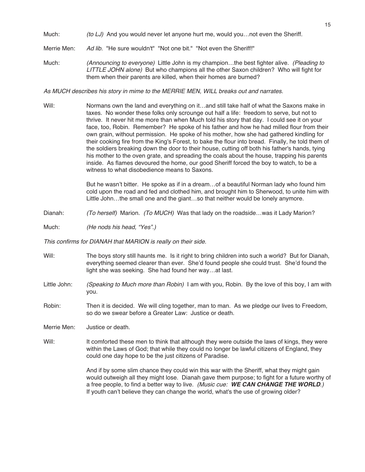- Much:  $(to LJ)$  And you would never let anyone hurt me, would you... not even the Sheriff.
- Merrie Men: Ad lib. "He sure wouldn't" "Not one bit." "Not even the Sheriff!"
- Much: (Announcing to everyone) Little John is my champion...the best fighter alive. (Pleading to LITTLE JOHN alone) But who champions all the other Saxon children? Who will fight for them when their parents are killed, when their homes are burned?

As MUCH describes his story in mime to the MERRIE MEN, WILL breaks out and narrates.

Will: Normans own the land and everything on it...and still take half of what the Saxons make in taxes. No wonder these folks only scrounge out half a life: freedom to serve, but not to thrive. It never hit me more than when Much told his story that day. I could see it on your face, too, Robin. Remember? He spoke of his father and how he had milled flour from their own grain, without permission. He spoke of his mother, how she had gathered kindling for their cooking fire from the King's Forest, to bake the flour into bread. Finally, he told them of the soldiers breaking down the door to their house, cutting off both his father's hands, tying his mother to the oven grate, and spreading the coals about the house, trapping his parents inside. As flames devoured the home, our good Sheriff forced the boy to watch, to be a witness to what disobedience means to Saxons.

> But he wasn't bitter. He spoke as if in a dream…of a beautiful Norman lady who found him cold upon the road and fed and clothed him, and brought him to Sherwood, to unite him with Little John…the small one and the giant…so that neither would be lonely anymore.

- Dianah: (To herself) Marion. (To MUCH) Was that lady on the roadside...was it Lady Marion?
- Much: (He nods his head, "Yes".)

This confirms for DIANAH that MARION is really on their side.

- Will: The boys story still haunts me. Is it right to bring children into such a world? But for Dianah, everything seemed clearer than ever. She'd found people she could trust. She'd found the light she was seeking. She had found her way…at last.
- Little John: (Speaking to Much more than Robin) I am with you, Robin. By the love of this boy, I am with you.
- Robin: Then it is decided. We will cling together, man to man. As we pledge our lives to Freedom, so do we swear before a Greater Law: Justice or death.

Merrie Men: Justice or death.

Will: It comforted these men to think that although they were outside the laws of kings, they were within the Laws of God; that while they could no longer be lawful citizens of England, they could one day hope to be the just citizens of Paradise.

> And if by some slim chance they could win this war with the Sheriff, what they might gain would outweigh all they might lose. Dianah gave them purpose; to fight for a future worthy of a free people, to find a better way to live. (Music cue: **WE CAN CHANGE THE WORLD**.) If youth can't believe they can change the world, what's the use of growing older?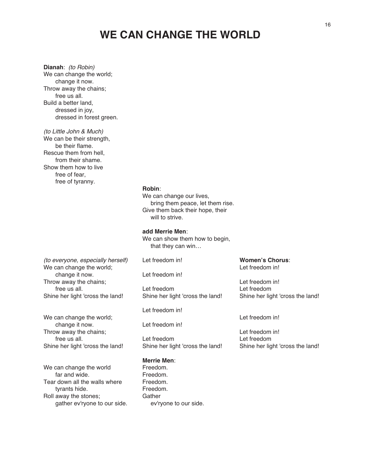### **WE CAN CHANGE THE WORLD**

**Dianah**: (to Robin) We can change the world; change it now. Throw away the chains; free us all. Build a better land, dressed in joy, dressed in forest green.

(to Little John & Much) We can be their strength, be their flame. Rescue them from hell, from their shame. Show them how to live free of fear, free of tyranny.

#### **Robin**:

We can change our lives, bring them peace, let them rise. Give them back their hope, their will to strive.

**add Merrie Men**:

We can show them how to begin, that they can win…

(to everyone, especially herself) We can change the world; change it now. Throw away the chains; free us all. Shine her light 'cross the land!

We can change the world; change it now. Throw away the chains; free us all. Shine her light 'cross the land!

We can change the world far and wide. Tear down all the walls where tyrants hide. Roll away the stones; gather ev'ryone to our side. Let freedom in!

Let freedom in!

Let freedom Shine her light 'cross the land!

Let freedom in!

Let freedom in!

Let freedom Shine her light 'cross the land!

#### **Merrie Men**:

Freedom. Freedom. Freedom. Freedom. **Gather** ev'ryone to our side. **Women's Chorus**: Let freedom in!

Let freedom in! Let freedom Shine her light 'cross the land!

Let freedom in!

Let freedom in! Let freedom Shine her light 'cross the land!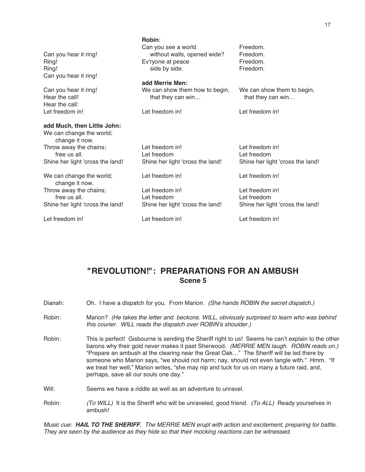|                                  | Robin:                           |                                  |
|----------------------------------|----------------------------------|----------------------------------|
|                                  | Can you see a world              | Freedom.                         |
| Can you hear it ring!            | without walls, opened wide?      | Freedom.                         |
| Ring!                            | Ev'ryone at peace                | Freedom.                         |
| Ring!                            | side by side.                    | Freedom.                         |
| Can you hear it ring!            |                                  |                                  |
|                                  | add Merrie Men:                  |                                  |
| Can you hear it ring!            | We can show them how to begin,   | We can show them to begin,       |
| Hear the call!                   | that they can win                | that they can win                |
| Hear the call:                   |                                  |                                  |
| Let freedom in!                  | Let freedom in!                  | Let freedom in!                  |
|                                  |                                  |                                  |
| add Much, then Little John:      |                                  |                                  |
| We can change the world;         |                                  |                                  |
| change it now.                   |                                  |                                  |
| Throw away the chains;           | Let freedom in!                  | Let freedom in!                  |
| free us all.                     | Let freedom                      | Let freedom                      |
| Shine her light 'cross the land! | Shine her light 'cross the land! | Shine her light 'cross the land! |
|                                  |                                  |                                  |
| We can change the world;         | Let freedom in!                  | Let freedom in!                  |
| change it now.                   |                                  |                                  |
| Throw away the chains;           | Let freedom in!                  | Let freedom in!                  |
| free us all.                     | Let freedom                      | Let freedom                      |
|                                  |                                  |                                  |
| Shine her light 'cross the land! | Shine her light 'cross the land! | Shine her light 'cross the land! |
| Let freedom in!                  | Let freedom in!                  | Let freedom in!                  |
|                                  |                                  |                                  |

### **"REVOLUTION!": PREPARATIONS FOR AN AMBUSH Scene 5**

Dianah: Oh. I have a dispatch for you. From Marion. (She hands ROBIN the secret dispatch.)

- Robin: Marion? (He takes the letter and beckons. WILL, obviously surprised to learn who was behind this courier. WILL reads the dispatch over ROBIN's shoulder.)
- Robin: This is perfect! Gisbourne is sending the Sheriff right to us! Seems he can't explain to the other barons why their gold never makes it past Sherwood. (MERRIE MEN laugh. ROBIN reads on.) "Prepare an ambush at the clearing near the Great Oak…" The Sheriff will be led there by someone who Marion says, "we should not harm; nay, should not even tangle with." Hmm. "If we treat her well," Marion writes, "she may nip and tuck for us on many a future raid, and, perhaps, save all our souls one day."
- Will: Seems we have a riddle as well as an adventure to unravel.
- Robin: (To WILL) It is the Sheriff who will be unraveled, good friend. (To ALL) Ready yourselves in ambush!

Music cue: **HAIL TO THE SHERIFF**. The MERRIE MEN erupt with action and excitement, preparing for battle. They are seen by the audience as they hide so that their mocking reactions can be witnessed.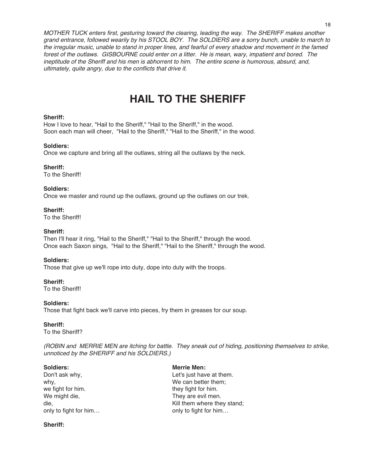MOTHER TUCK enters first, gesturing toward the clearing, leading the way. The SHERIFF makes another grand entrance, followed wearily by his STOOL BOY. The SOLDIERS are <sup>a</sup> sorry bunch, unable to march to the irregular music, unable to stand in proper lines, and fearful of every shadow and movement in the famed forest of the outlaws. GISBOURNE could enter on <sup>a</sup> litter. He is mean, wary, impatient and bored. The ineptitude of the Sheriff and his men is abhorrent to him. The entire scene is humorous, absurd, and, ultimately, quite angry, due to the conflicts that drive it.

## **HAIL TO THE SHERIFF**

#### **Sheriff:**

How I love to hear, "Hail to the Sheriff," "Hail to the Sheriff," in the wood. Soon each man will cheer, "Hail to the Sheriff," "Hail to the Sheriff," in the wood.

#### **Soldiers:**

Once we capture and bring all the outlaws, string all the outlaws by the neck.

#### **Sheriff:**

To the Sheriff!

#### **Soldiers:**

Once we master and round up the outlaws, ground up the outlaws on our trek.

**Sheriff:** To the Sheriff!

#### **Sheriff:**

Then I'll hear it ring, "Hail to the Sheriff," "Hail to the Sheriff," through the wood. Once each Saxon sings, "Hail to the Sheriff," "Hail to the Sheriff," through the wood.

#### **Soldiers:**

Those that give up we'll rope into duty, dope into duty with the troops.

### **Sheriff:**

To the Sheriff!

#### **Soldiers:**

Those that fight back we'll carve into pieces, fry them in greases for our soup.

#### **Sheriff:**

To the Sheriff?

(ROBIN and MERRIE MEN are itching for battle. They sneak out of hiding, positioning themselves to strike, unnoticed by the SHERIFF and his SOLDIERS.)

Don't ask why, the same control of the Let's just have at them. why, why, why, why, why, why, why,  $\mathsf{W}\mathsf{e}$  can better them; we fight for him. they fight for him. We might die,  $\blacksquare$  They are evil men.

**Soldiers: Merrie Men:**

die, and the metal of the Mill them where they stand; only to fight for him…  $\qquad \qquad$  only to fight for him…

#### **Sheriff:**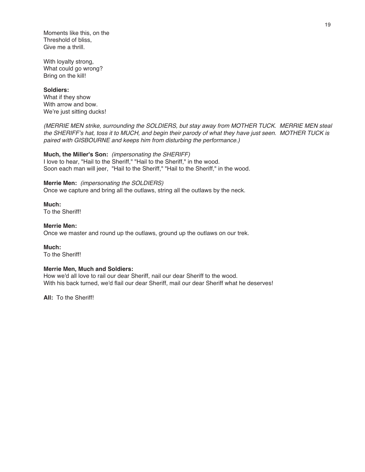Moments like this, on the Threshold of bliss, Give me a thrill.

With loyalty strong, What could go wrong? Bring on the kill!

#### **Soldiers:**

What if they show With arrow and bow. We're just sitting ducks!

(MERRIE MEN strike, surrounding the SOLDIERS, but stay away from MOTHER TUCK. MERRIE MEN steal the SHERIFF's hat, toss it to MUCH, and begin their parody of what they have just seen. MOTHER TUCK is paired with GISBOURNE and keeps him from disturbing the performance.)

#### **Much, the Miller's Son:** (impersonating the SHERIFF)

I love to hear, "Hail to the Sheriff," "Hail to the Sheriff," in the wood. Soon each man will jeer, "Hail to the Sheriff," "Hail to the Sheriff," in the wood.

#### **Merrie Men:** (impersonating the SOLDIERS)

Once we capture and bring all the outlaws, string all the outlaws by the neck.

**Much:** To the Sheriff!

#### **Merrie Men:**

Once we master and round up the outlaws, ground up the outlaws on our trek.

#### **Much:**

To the Sheriff!

#### **Merrie Men, Much and Soldiers:**

How we'd all love to rail our dear Sheriff, nail our dear Sheriff to the wood. With his back turned, we'd flail our dear Sheriff, mail our dear Sheriff what he deserves!

**All:** To the Sheriff!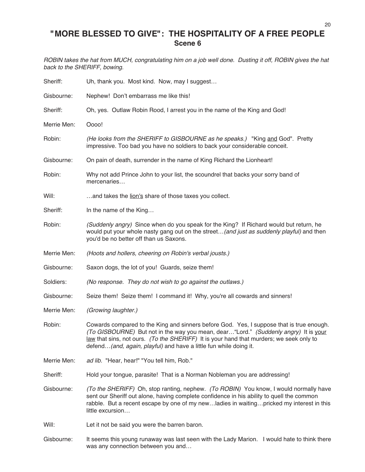### **"MORE BLESSED TO GIVE": THE HOSPITALITY OF A FREE PEOPLE Scene 6**

ROBIN takes the hat from MUCH, congratulating him on <sup>a</sup> job well done. Dusting it off, ROBIN gives the hat back to the SHERIFF, bowing.

| Sheriff:    | Uh, thank you. Most kind. Now, may I suggest                                                                                                                                                                                                                                                                                                      |
|-------------|---------------------------------------------------------------------------------------------------------------------------------------------------------------------------------------------------------------------------------------------------------------------------------------------------------------------------------------------------|
| Gisbourne:  | Nephew! Don't embarrass me like this!                                                                                                                                                                                                                                                                                                             |
| Sheriff:    | Oh, yes. Outlaw Robin Rood, I arrest you in the name of the King and God!                                                                                                                                                                                                                                                                         |
| Merrie Men: | Oooo!                                                                                                                                                                                                                                                                                                                                             |
| Robin:      | (He looks from the SHERIFF to GISBOURNE as he speaks.) "King and God". Pretty<br>impressive. Too bad you have no soldiers to back your considerable conceit.                                                                                                                                                                                      |
| Gisbourne:  | On pain of death, surrender in the name of King Richard the Lionheart!                                                                                                                                                                                                                                                                            |
| Robin:      | Why not add Prince John to your list, the scoundrel that backs your sorry band of<br>mercenaries                                                                                                                                                                                                                                                  |
| Will:       | and takes the lion's share of those taxes you collect.                                                                                                                                                                                                                                                                                            |
| Sheriff:    | In the name of the King                                                                                                                                                                                                                                                                                                                           |
| Robin:      | (Suddenly angry) Since when do you speak for the King? If Richard would but return, he<br>would put your whole nasty gang out on the street(and just as suddenly playful) and then<br>you'd be no better off than us Saxons.                                                                                                                      |
| Merrie Men: | (Hoots and hollers, cheering on Robin's verbal jousts.)                                                                                                                                                                                                                                                                                           |
| Gisbourne:  | Saxon dogs, the lot of you! Guards, seize them!                                                                                                                                                                                                                                                                                                   |
| Soldiers:   | (No response. They do not wish to go against the outlaws.)                                                                                                                                                                                                                                                                                        |
| Gisbourne:  | Seize them! Seize them! I command it! Why, you're all cowards and sinners!                                                                                                                                                                                                                                                                        |
| Merrie Men: | (Growing laughter.)                                                                                                                                                                                                                                                                                                                               |
| Robin:      | Cowards compared to the King and sinners before God. Yes, I suppose that is true enough.<br>(To GISBOURNE) But not in the way you mean, dear "Lord." (Suddenly angry) It is your<br>law that sins, not ours. (To the SHERIFF) It is your hand that murders; we seek only to<br>defend (and, again, playful) and have a little fun while doing it. |
| Merrie Men: | ad lib. "Hear, hear!" "You tell him, Rob."                                                                                                                                                                                                                                                                                                        |
| Sheriff:    | Hold your tongue, parasite! That is a Norman Nobleman you are addressing!                                                                                                                                                                                                                                                                         |
| Gisbourne:  | (To the SHERIFF) Oh, stop ranting, nephew. (To ROBIN) You know, I would normally have<br>sent our Sheriff out alone, having complete confidence in his ability to quell the common<br>rabble. But a recent escape by one of my newladies in waitingpricked my interest in this<br>little excursion                                                |
| Will:       | Let it not be said you were the barren baron.                                                                                                                                                                                                                                                                                                     |
|             |                                                                                                                                                                                                                                                                                                                                                   |

Gisbourne: It seems this young runaway was last seen with the Lady Marion. I would hate to think there was any connection between you and…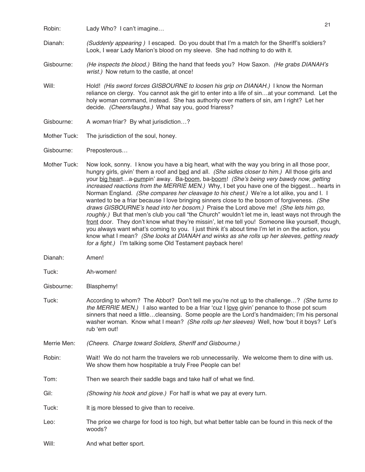Robin: Lady Who? I can't imagine...

- Dianah: (Suddenly appearing ) I escaped. Do you doubt that I'm a match for the Sheriff's soldiers? Look, I wear Lady Marion's blood on my sleeve. She had nothing to do with it.
- Gisbourne: (He inspects the blood.) Biting the hand that feeds you? How Saxon. (He grabs DIANAH's wrist.) Now return to the castle, at once!
- Will: Hold! (His sword forces GISBOURNE to loosen his grip on DIANAH.) I know the Norman reliance on clergy. You cannot ask the girl to enter into a life of sin…at your command. Let the holy woman command, instead. She has authority over matters of sin, am I right? Let her decide. (Cheers/laughs.) What say you, good friaress?
- Gisbourne: A woman friar? By what jurisdiction...?
- Mother Tuck: The jurisdiction of the soul, honey.
- Gisbourne: Preposterous…
- Mother Tuck: Now look, sonny. I know you have a big heart, what with the way you bring in all those poor, hungry girls, givin' them a roof and bed and all. (She sidles closer to him.) All those girls and your big heart…a-pumpin' away. Ba-boom, ba-boom! (She's being very bawdy now, getting increased reactions from the MERRIE MEN.) Why, I bet you have one of the biggest... hearts in Norman England. (She compares her cleavage to his chest.) We're a lot alike, you and I. I wanted to be a friar because I love bringing sinners close to the bosom of forgiveness. (She draws GISBOURNE's head into her bosom.) Praise the Lord above me! (She lets him go, roughly.) But that men's club you call "the Church" wouldn't let me in, least ways not through the front door. They don't know what they're missin', let me tell you! Someone like yourself, though, you always want what's coming to you. I just think it's about time I'm let in on the action, you know what I mean? (She looks at DIANAH and winks as she rolls up her sleeves, getting ready for <sup>a</sup> fight.) I'm talking some Old Testament payback here!
- Dianah: Amen!
- Tuck: Ah-women!
- Gisbourne: Blasphemy!
- Tuck: According to whom? The Abbot? Don't tell me you're not up to the challenge...? (She turns to the MERRIE MEN.) I also wanted to be a friar 'cuz I love givin' penance to those pot scum sinners that need a little…cleansing. Some people are the Lord's handmaiden; I'm his personal washer woman. Know what I mean? (She rolls up her sleeves) Well, how 'bout it boys? Let's rub ʻem out!
- Merrie Men: (Cheers. Charge toward Soldiers, Sheriff and Gisbourne.)
- Robin: Wait! We do not harm the travelers we rob unnecessarily. We welcome them to dine with us. We show them how hospitable a truly Free People can be!
- Tom: Then we search their saddle bags and take half of what we find.
- Gil: (Showing his hook and glove.) For half is what we pay at every turn.
- Tuck: It is more blessed to give than to receive.
- Leo: The price we charge for food is too high, but what better table can be found in this neck of the woods?
- Will: And what better sport.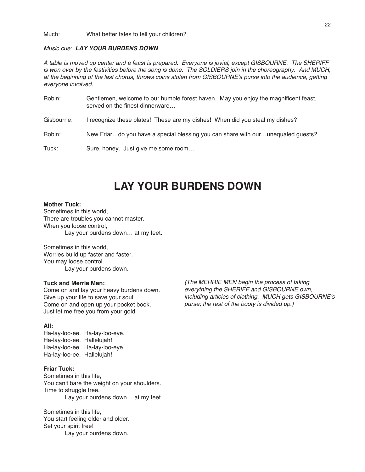Much: What better tales to tell your children?

#### Music cue: **LAY YOUR BURDENS DOWN**.

A table is moved up center and <sup>a</sup> feast is prepared. Everyone is jovial, except GISBOURNE. The SHERIFF is won over by the festivities before the song is done. The SOLDIERS join in the choreography. And MUCH, at the beginning of the last chorus, throws coins stolen from GISBOURNE's purse into the audience, getting everyone involved.

Robin: Gentlemen, welcome to our humble forest haven. May you enjoy the magnificent feast, served on the finest dinnerware…

Gisbourne: I recognize these plates! These are my dishes! When did you steal my dishes?!

Robin: New Friar...do you have a special blessing you can share with our...unequaled guests?

Tuck: Sure, honey. Just give me some room…

## **LAY YOUR BURDENS DOWN**

#### **Mother Tuck:**

Sometimes in this world, There are troubles you cannot master. When you loose control, Lay your burdens down… at my feet.

Sometimes in this world, Worries build up faster and faster. You may loose control. Lay your burdens down.

#### **Tuck and Merrie Men:**

Come on and lay your heavy burdens down. Give up your life to save your soul. Come on and open up your pocket book. Just let me free you from your gold.

#### **All:**

Ha-lay-loo-ee. Ha-lay-loo-eye. Ha-lay-loo-ee. Hallelujah! Ha-lay-loo-ee. Ha-lay-loo-eye. Ha-lay-loo-ee. Hallelujah!

#### **Friar Tuck:**

Sometimes in this life, You can't bare the weight on your shoulders. Time to struggle free. Lay your burdens down… at my feet.

Sometimes in this life, You start feeling older and older. Set your spirit free! Lay your burdens down.

(The MERRIE MEN begin the process of taking everything the SHERIFF and GISBOURNE own, including articles of clothing. MUCH gets GISBOURNE's purse; the rest of the booty is divided up.)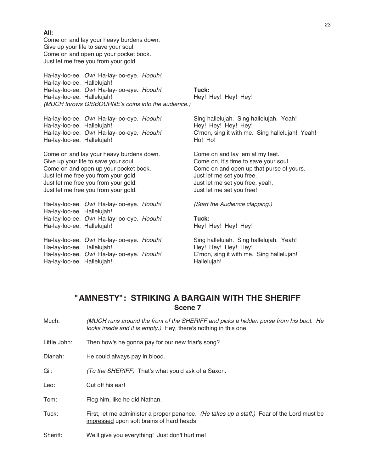Come on and lay your heavy burdens down. Give up your life to save your soul. Come on and open up your pocket book. Just let me free you from your gold.

Just let me free you from your gold.

Ha-lay-loo-ee. Hallelujah!

Ha-lay-loo-ee. Hallelujah!

Ha-lay-loo-ee. Ow! Ha-lay-loo-eye. Hoouh! Ha-lay-loo-ee. Hallelujah! Ha-lay-loo-ee. Ow! Ha-lay-loo-eye. Hoouh! **Tuck:** Ha-lay-loo-ee. Hallelujah! Hey! Hey! Hey! Hey! (MUCH throws GISBOURNE's coins into the audience.)

Ha-lay-loo-ee. Ow! Ha-lay-loo-eye. Hoouh! Sing hallelujah. Sing hallelujah. Yeah! Ha-lay-loo-ee. Hallelujah! Hey! Hey! Hey! Hey! Ha-lay-loo-ee. Ow! Ha-lay-loo-eye. Hoouh! C'mon, sing it with me. Sing hallelujah! Yeah! Ha-lay-loo-ee. Hallelujah! Ho! Ho! Ho! Ho! Ho!

Come on and lay your heavy burdens down. Come on and lay 'em at my feet.<br>Give up your life to save your soul. Come on, it's time to save your sould Come on, it's time to save your soul. Come on and open up your pocket book. Come on and open up that purse of yours. Just let me free you from your gold.<br>
Just let me set you free.<br>
Just let me set you free, yeah. Just let me free you from your gold. Just let me set you free!

Ha-lay-loo-ee. Ow! Ha-lay-loo-eye. Hoouh! (Start the Audience clapping.)

Ha-lay-loo-ee. Ow! Ha-lay-loo-eye. Hoouh! **Tuck:**

Ha-lay-loo-ee. Ow! Ha-lay-loo-eye. Hoouh! Sing hallelujah. Sing hallelujah. Yeah! Ha-lay-loo-ee. Hallelujah! Hey! Hey! Hey! Hey! Ha-lay-loo-ee. Ow! Ha-lay-loo-eye. Hoouh! C'mon, sing it with me. Sing hallelujah! Ha-lay-loo-ee. Hallelujah! Hallelujah! Hallelujah!

### **"AMNESTY": STRIKING A BARGAIN WITH THE SHERIFF Scene 7**

- Much: (MUCH runs around the front of the SHERIFF and picks <sup>a</sup> hidden purse from his boot. He looks inside and it is empty.) Hey, there's nothing in this one.
- Little John: Then how's he gonna pay for our new friar's song?
- Dianah: He could always pay in blood.

Gil: (To the SHERIFF) That's what you'd ask of a Saxon.

Leo: Cut off his ear!

Tom: Flog him, like he did Nathan.

Tuck: First, let me administer a proper penance. (He takes up a staff.) Fear of the Lord must be impressed upon soft brains of hard heads!

Sheriff: We'll give you everything! Just don't hurt me!

**All:**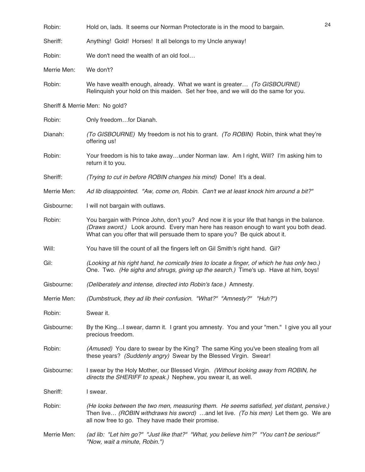| Robin:      | Hold on, lads. It seems our Norman Protectorate is in the mood to bargain.                                                                                                                                                                                        | 24 |
|-------------|-------------------------------------------------------------------------------------------------------------------------------------------------------------------------------------------------------------------------------------------------------------------|----|
| Sheriff:    | Anything! Gold! Horses! It all belongs to my Uncle anyway!                                                                                                                                                                                                        |    |
| Robin:      | We don't need the wealth of an old fool                                                                                                                                                                                                                           |    |
| Merrie Men: | We don't?                                                                                                                                                                                                                                                         |    |
| Robin:      | We have wealth enough, already. What we want is greater (To GISBOURNE)<br>Relinguish your hold on this maiden. Set her free, and we will do the same for you.                                                                                                     |    |
|             | Sheriff & Merrie Men: No gold?                                                                                                                                                                                                                                    |    |
| Robin:      | Only freedomfor Dianah.                                                                                                                                                                                                                                           |    |
| Dianah:     | (To GISBOURNE) My freedom is not his to grant. (To ROBIN) Robin, think what they're<br>offering us!                                                                                                                                                               |    |
| Robin:      | Your freedom is his to take awayunder Norman law. Am I right, Will? I'm asking him to<br>return it to you.                                                                                                                                                        |    |
| Sheriff:    | (Trying to cut in before ROBIN changes his mind) Done! It's a deal.                                                                                                                                                                                               |    |
| Merrie Men: | Ad lib disappointed. "Aw, come on, Robin. Can't we at least knock him around a bit?"                                                                                                                                                                              |    |
| Gisbourne:  | I will not bargain with outlaws.                                                                                                                                                                                                                                  |    |
| Robin:      | You bargain with Prince John, don't you? And now it is your life that hangs in the balance.<br>(Draws sword.) Look around. Every man here has reason enough to want you both dead.<br>What can you offer that will persuade them to spare you? Be quick about it. |    |
| Will:       | You have till the count of all the fingers left on Gil Smith's right hand. Gil?                                                                                                                                                                                   |    |
| Gil:        | (Looking at his right hand, he comically tries to locate a finger, of which he has only two.)<br>One. Two. (He sighs and shrugs, giving up the search.) Time's up. Have at him, boys!                                                                             |    |
| Gisbourne:  | (Deliberately and intense, directed into Robin's face.) Amnesty.                                                                                                                                                                                                  |    |
| Merrie Men: | (Dumbstruck, they ad lib their confusion. "What?" "Amnesty?" "Huh?")                                                                                                                                                                                              |    |
| Robin:      | Swear it.                                                                                                                                                                                                                                                         |    |
| Gisbourne:  | By the KingI swear, damn it. I grant you amnesty. You and your "men." I give you all your<br>precious freedom.                                                                                                                                                    |    |
| Robin:      | (Amused) You dare to swear by the King? The same King you've been stealing from all<br>these years? (Suddenly angry) Swear by the Blessed Virgin. Swear!                                                                                                          |    |
| Gisbourne:  | I swear by the Holy Mother, our Blessed Virgin. (Without looking away from ROBIN, he<br>directs the SHERIFF to speak.) Nephew, you swear it, as well.                                                                                                             |    |
| Sheriff:    | I swear.                                                                                                                                                                                                                                                          |    |
| Robin:      | (He looks between the two men, measuring them. He seems satisfied, yet distant, pensive.)<br>Then live (ROBIN withdraws his sword) and let live. (To his men) Let them go. We are<br>all now free to go. They have made their promise.                            |    |
| Merrie Men: | (ad lib: "Let him go?" "Just like that?" "What, you believe him?" "You can't be serious!"<br>"Now, wait a minute, Robin.")                                                                                                                                        |    |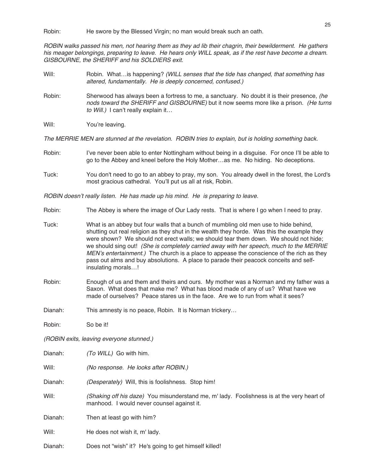Robin: He swore by the Blessed Virgin; no man would break such an oath.

ROBIN walks passed his men, not hearing them as they ad lib their chagrin, their bewilderment. He gathers his meager belongings, preparing to leave. He hears only WILL speak, as if the rest have become <sup>a</sup> dream. GISBOURNE, the SHERIFF and his SOLDIERS exit.

- Will: Robin. What...is happening? (WILL senses that the tide has changed, that something has altered, fundamentally. He is deeply concerned, confused.)
- Robin: Sherwood has always been a fortress to me, a sanctuary. No doubt it is their presence, *(he* nods toward the SHERIFF and GISBOURNE) but it now seems more like a prison. (He turns to Will.) I can't really explain it...
- Will: You're leaving.

The MERRIE MEN are stunned at the revelation. ROBIN tries to explain, but is holding something back.

- Robin: I've never been able to enter Nottingham without being in a disguise. For once I'll be able to go to the Abbey and kneel before the Holy Mother…as me. No hiding. No deceptions.
- Tuck: You don't need to go to an abbey to pray, my son. You already dwell in the forest, the Lord's most gracious cathedral. You'll put us all at risk, Robin.

ROBIN doesn't really listen. He has made up his mind. He is preparing to leave.

- Robin: The Abbey is where the image of Our Lady rests. That is where I go when I need to pray.
- Tuck: What is an abbey but four walls that a bunch of mumbling old men use to hide behind, shutting out real religion as they shut in the wealth they horde. Was this the example they were shown? We should not erect walls; we should tear them down. We should not hide; we should sing out! (She is completely carried away with her speech, much to the MERRIE MEN's entertainment.) The church is a place to appease the conscience of the rich as they pass out alms and buy absolutions. A place to parade their peacock conceits and selfinsulating morals…!
- Robin: Enough of us and them and theirs and ours. My mother was a Norman and my father was a Saxon. What does that make me? What has blood made of any of us? What have we made of ourselves? Peace stares us in the face. Are we to run from what it sees?
- Dianah: This amnesty is no peace, Robin. It is Norman trickery...
- Robin: So be it!

(ROBIN exits, leaving everyone stunned.)

| Dianah: | (To WILL) Go with him.                                                                                                                  |
|---------|-----------------------------------------------------------------------------------------------------------------------------------------|
| Will:   | (No response. He looks after ROBIN.)                                                                                                    |
| Dianah: | <i>(Desperately)</i> Will, this is foolishness. Stop him!                                                                               |
| Will:   | (Shaking off his daze) You misunderstand me, m' lady. Foolishness is at the very heart of<br>manhood. I would never counsel against it. |
| Dianah: | Then at least go with him?                                                                                                              |
| Will:   | He does not wish it, m' lady.                                                                                                           |
| Dianah: | Does not "wish" it? He's going to get himself killed!                                                                                   |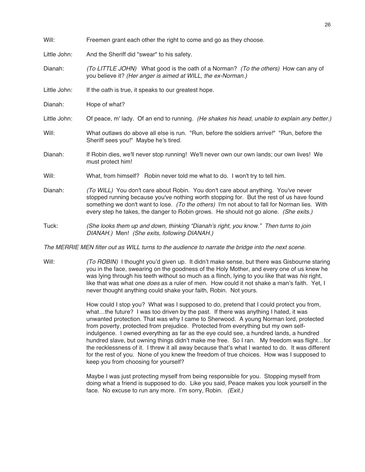| Will:        | Freemen grant each other the right to come and go as they choose.                                                                                                                                                                                                                                                                                                     |
|--------------|-----------------------------------------------------------------------------------------------------------------------------------------------------------------------------------------------------------------------------------------------------------------------------------------------------------------------------------------------------------------------|
| Little John: | And the Sheriff did "swear" to his safety.                                                                                                                                                                                                                                                                                                                            |
| Dianah:      | (To LITTLE JOHN) What good is the oath of a Norman? (To the others) How can any of<br>you believe it? (Her anger is aimed at WILL, the ex-Norman.)                                                                                                                                                                                                                    |
| Little John: | If the oath is true, it speaks to our greatest hope.                                                                                                                                                                                                                                                                                                                  |
| Dianah:      | Hope of what?                                                                                                                                                                                                                                                                                                                                                         |
| Little John: | Of peace, m' lady. Of an end to running. (He shakes his head, unable to explain any better.)                                                                                                                                                                                                                                                                          |
| Will:        | What outlaws do above all else is run. "Run, before the soldiers arrive!" "Run, before the<br>Sheriff sees you!" Maybe he's tired.                                                                                                                                                                                                                                    |
| Dianah:      | If Robin dies, we'll never stop running! We'll never own our own lands; our own lives! We<br>must protect him!                                                                                                                                                                                                                                                        |
| Will:        | What, from himself? Robin never told me what to do. I won't try to tell him.                                                                                                                                                                                                                                                                                          |
| Dianah:      | (To WILL) You don't care about Robin. You don't care about anything. You've never<br>stopped running because you've nothing worth stopping for. But the rest of us have found<br>something we don't want to lose. (To the others) I'm not about to fall for Norman lies. With<br>every step he takes, the danger to Robin grows. He should not go alone. (She exits.) |
| Tuck:        | (She looks them up and down, thinking "Dianah's right, you know." Then turns to join<br>DIANAH.) Men! (She exits, following DIANAH.)                                                                                                                                                                                                                                  |

The MERRIE MEN filter out as WILL turns to the audience to narrate the bridge into the next scene.

Will: (To ROBIN) I thought you'd given up. It didn't make sense, but there was Gisbourne staring you in the face, swearing on the goodness of the Holy Mother, and every one of us knew he was lying through his teeth without so much as a flinch, lying to you like that was his right, like that was what one *does* as a ruler of men. How could it not shake a man's faith. Yet, I never thought anything could shake your faith, Robin. Not yours.

> How could I stop you? What was I supposed to do, pretend that I could protect you from, what…the future? I was too driven by the past. If there was anything I hated, it was unwanted protection. That was why I came to Sherwood. A young Norman lord, protected from poverty, protected from prejudice. Protected from everything but my own selfindulgence. I owned everything as far as the eye could see, a hundred lands, a hundred hundred slave, but owning things didn't make me free. So I ran. My freedom was flight…for the recklessness of it. I threw it all away because that's what I wanted to do. It was different for the rest of you. None of you knew the freedom of true choices. How was I supposed to keep you from choosing for yourself?

Maybe I was just protecting myself from being responsible for you. Stopping myself from doing what a friend is supposed to do. Like you said, Peace makes you look yourself in the face. No excuse to run any more. I'm sorry, Robin. (Exit.)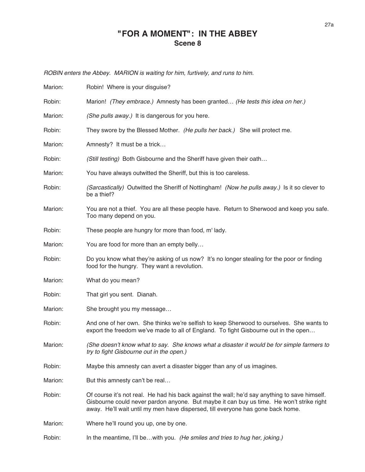### **"FOR A MOMENT": IN THE ABBEY Scene 8**

ROBIN enters the Abbey. MARION is waiting for him, furtively, and runs to him.

| Marion: | Robin! Where is your disguise?                                                                                                                                                                                                                                               |
|---------|------------------------------------------------------------------------------------------------------------------------------------------------------------------------------------------------------------------------------------------------------------------------------|
| Robin:  | Marion! (They embrace.) Amnesty has been granted (He tests this idea on her.)                                                                                                                                                                                                |
| Marion: | (She pulls away.) It is dangerous for you here.                                                                                                                                                                                                                              |
| Robin:  | They swore by the Blessed Mother. (He pulls her back.) She will protect me.                                                                                                                                                                                                  |
| Marion: | Amnesty? It must be a trick                                                                                                                                                                                                                                                  |
| Robin:  | (Still testing) Both Gisbourne and the Sheriff have given their oath                                                                                                                                                                                                         |
| Marion: | You have always outwitted the Sheriff, but this is too careless.                                                                                                                                                                                                             |
| Robin:  | (Sarcastically) Outwitted the Sheriff of Nottingham! (Now he pulls away.) Is it so clever to<br>be a thief?                                                                                                                                                                  |
| Marion: | You are not a thief. You are all these people have. Return to Sherwood and keep you safe.<br>Too many depend on you.                                                                                                                                                         |
| Robin:  | These people are hungry for more than food, m' lady.                                                                                                                                                                                                                         |
| Marion: | You are food for more than an empty belly                                                                                                                                                                                                                                    |
| Robin:  | Do you know what they're asking of us now? It's no longer stealing for the poor or finding<br>food for the hungry. They want a revolution.                                                                                                                                   |
| Marion: | What do you mean?                                                                                                                                                                                                                                                            |
| Robin:  | That girl you sent. Dianah.                                                                                                                                                                                                                                                  |
| Marion: | She brought you my message                                                                                                                                                                                                                                                   |
| Robin:  | And one of her own. She thinks we're selfish to keep Sherwood to ourselves. She wants to<br>export the freedom we've made to all of England. To fight Gisbourne out in the open                                                                                              |
| Marion: | (She doesn't know what to say. She knows what a disaster it would be for simple farmers to<br>try to fight Gisbourne out in the open.)                                                                                                                                       |
| Robin:  | Maybe this amnesty can avert a disaster bigger than any of us imagines.                                                                                                                                                                                                      |
| Marion: | But this amnesty can't be real                                                                                                                                                                                                                                               |
| Robin:  | Of course it's not real. He had his back against the wall; he'd say anything to save himself.<br>Gisbourne could never pardon anyone. But maybe it can buy us time. He won't strike right<br>away. He'll wait until my men have dispersed, till everyone has gone back home. |
| Marion: | Where he'll round you up, one by one.                                                                                                                                                                                                                                        |
| Robin:  | In the meantime, I'll bewith you. (He smiles and tries to hug her, joking.)                                                                                                                                                                                                  |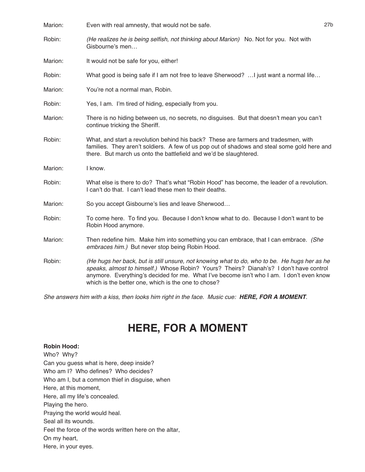| Marion: | Even with real amnesty, that would not be safe.                                                                                                                                                                                                                                                                                           | 27 <sub>b</sub> |
|---------|-------------------------------------------------------------------------------------------------------------------------------------------------------------------------------------------------------------------------------------------------------------------------------------------------------------------------------------------|-----------------|
| Robin:  | (He realizes he is being selfish, not thinking about Marion) No. Not for you. Not with<br>Gisbourne's men                                                                                                                                                                                                                                 |                 |
| Marion: | It would not be safe for you, either!                                                                                                                                                                                                                                                                                                     |                 |
| Robin:  | What good is being safe if I am not free to leave Sherwood?  I just want a normal life                                                                                                                                                                                                                                                    |                 |
| Marion: | You're not a normal man, Robin.                                                                                                                                                                                                                                                                                                           |                 |
| Robin:  | Yes, I am. I'm tired of hiding, especially from you.                                                                                                                                                                                                                                                                                      |                 |
| Marion: | There is no hiding between us, no secrets, no disguises. But that doesn't mean you can't<br>continue tricking the Sheriff.                                                                                                                                                                                                                |                 |
| Robin:  | What, and start a revolution behind his back? These are farmers and tradesmen, with<br>families. They aren't soldiers. A few of us pop out of shadows and steal some gold here and<br>there. But march us onto the battlefield and we'd be slaughtered.                                                                                   |                 |
| Marion: | I know.                                                                                                                                                                                                                                                                                                                                   |                 |
| Robin:  | What else is there to do? That's what "Robin Hood" has become, the leader of a revolution.<br>I can't do that. I can't lead these men to their deaths.                                                                                                                                                                                    |                 |
| Marion: | So you accept Gisbourne's lies and leave Sherwood                                                                                                                                                                                                                                                                                         |                 |
| Robin:  | To come here. To find you. Because I don't know what to do. Because I don't want to be<br>Robin Hood anymore.                                                                                                                                                                                                                             |                 |
| Marion: | Then redefine him. Make him into something you can embrace, that I can embrace. (She<br>embraces him.) But never stop being Robin Hood.                                                                                                                                                                                                   |                 |
| Robin:  | (He hugs her back, but is still unsure, not knowing what to do, who to be. He hugs her as he<br>speaks, almost to himself.) Whose Robin? Yours? Theirs? Dianah's? I don't have control<br>anymore. Everything's decided for me. What I've become isn't who I am. I don't even know<br>which is the better one, which is the one to chose? |                 |

She answers him with <sup>a</sup> kiss, then looks him right in the face. Music cue: **HERE, FOR A MOMENT**.

## **HERE, FOR A MOMENT**

#### **Robin Hood:**

Who? Why? Can you guess what is here, deep inside? Who am I? Who defines? Who decides? Who am I, but a common thief in disguise, when Here, at this moment, Here, all my life's concealed. Playing the hero. Praying the world would heal. Seal all its wounds. Feel the force of the words written here on the altar, On my heart, Here, in your eyes.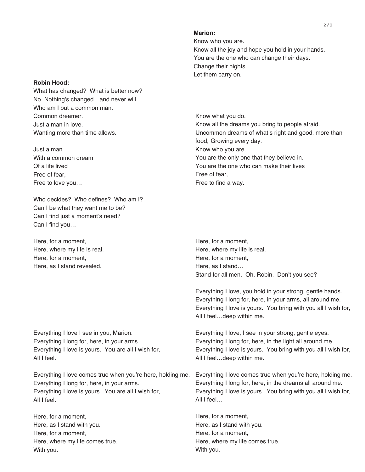#### **Marion:**

Know who you are. Know all the joy and hope you hold in your hands. You are the one who can change their days. Change their nights. Let them carry on.

Know what you do. Know all the dreams you bring to people afraid. Uncommon dreams of what's right and good, more than food, Growing every day. Know who you are. You are the only one that they believe in. You are the one who can make their lives Free of fear, Free to find a way.

Here, for a moment, Here, where my life is real. Here, for a moment, Here, as I stand… Stand for all men. Oh, Robin. Don't you see?

Everything I love, you hold in your strong, gentle hands. Everything I long for, here, in your arms, all around me. Everything I love is yours. You bring with you all I wish for, All I feel…deep within me.

Everything I love, I see in your strong, gentle eyes. Everything I long for, here, in the light all around me. Everything I love is yours. You bring with you all I wish for, All I feel…deep within me.

Everything I love comes true when you're here, holding me. Everything I love comes true when you're here, holding me. Everything I long for, here, in the dreams all around me. Everything I love is yours. You bring with you all I wish for, All I feel…

> Here, for a moment, Here, as I stand with you. Here, for a moment, Here, where my life comes true. With you.

#### **Robin Hood:**

What has changed? What is better now? No. Nothing's changed…and never will. Who am I but a common man. Common dreamer. Just a man in love. Wanting more than time allows.

Just a man With a common dream Of a life lived Free of fear, Free to love you…

Who decides? Who defines? Who am I? Can I be what they want me to be? Can I find just a moment's need? Can I find you…

Here, for a moment, Here, where my life is real. Here, for a moment, Here, as I stand revealed.

Everything I love I see in you, Marion. Everything I long for, here, in your arms. Everything I love is yours. You are all I wish for, All I feel.

Everything I long for, here, in your arms. Everything I love is yours. You are all I wish for, All I feel.

Here, for a moment, Here, as I stand with you. Here, for a moment, Here, where my life comes true. With you.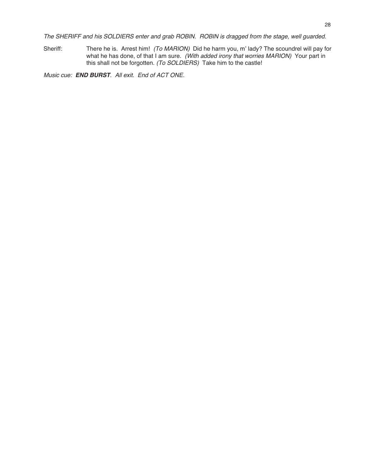The SHERIFF and his SOLDIERS enter and grab ROBIN. ROBIN is dragged from the stage, well guarded.

Sheriff: There he is. Arrest him! (To MARION) Did he harm you, m' lady? The scoundrel will pay for what he has done, of that I am sure. (With added irony that worries MARION) Your part in this shall not be forgotten. (To SOLDIERS) Take him to the castle!

Music cue: **END BURST**. All exit. End of ACT ONE.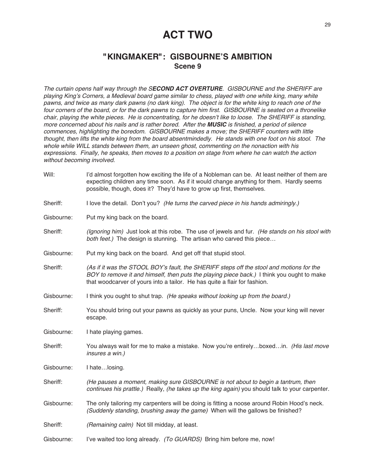### **ACT TWO**

### **"KINGMAKER": GISBOURNE'S AMBITION Scene 9**

The curtain opens half way through the S**ECOND ACT OVERTURE**. GISBOURNE and the SHERIFF are playing King's Corners, <sup>a</sup> Medieval board game similar to chess, played with one white king, many white pawns, and twice as many dark pawns (no dark king). The object is for the white king to reach one of the four corners of the board, or for the dark pawns to capture him first. GISBOURNE is seated on <sup>a</sup> thronelike chair, playing the white pieces. He is concentrating, for he doesn't like to loose. The SHERIFF is standing, more concerned about his nails and is rather bored. After the **MUSIC** is finished, <sup>a</sup> period of silence commences, highlighting the boredom. GISBOURNE makes <sup>a</sup> move; the SHERIFF counters with little thought, then lifts the white king from the board absentmindedly. He stands with one foot on his stool. The whole while WILL stands between them, an unseen ghost, commenting on the nonaction with his expressions. Finally, he speaks, then moves to <sup>a</sup> position on stage from where he can watch the action without becoming involved.

- Will: I'd almost forgotten how exciting the life of a Nobleman can be. At least neither of them are expecting children any time soon. As if it would change anything for them. Hardly seems possible, though, does it? They'd have to grow up first, themselves.
- Sheriff: I love the detail. Don't you? (He turns the carved piece in his hands admiringly.)
- Gisbourne: Put my king back on the board.
- Sheriff: (Ignoring him) Just look at this robe. The use of jewels and fur. (He stands on his stool with both feet.) The design is stunning. The artisan who carved this piece...
- Gisbourne: Put my king back on the board. And get off that stupid stool.
- Sheriff: (As if it was the STOOL BOY's fault, the SHERIFF steps off the stool and motions for the BOY to remove it and himself, then puts the playing piece back.) I think you ought to make that woodcarver of yours into a tailor. He has quite a flair for fashion.
- Gisbourne: I think you ought to shut trap. (He speaks without looking up from the board.)
- Sheriff: You should bring out your pawns as quickly as your puns, Uncle. Now your king will never escape.

Gisbourne: I hate playing games.

Sheriff: You always wait for me to make a mistake. Now you're entirely...boxed...in. (His last move insures <sup>a</sup> win.)

Gisbourne: I hate…losing.

Sheriff: (He pauses <sup>a</sup> moment, making sure GISBOURNE is not about to begin <sup>a</sup> tantrum, then continues his prattle.) Really, (he takes up the king again) you should talk to your carpenter.

Gisbourne: The only tailoring my carpenters will be doing is fitting a noose around Robin Hood's neck. (Suddenly standing, brushing away the game) When will the gallows be finished?

Sheriff: (Remaining calm) Not till midday, at least.

Gisbourne: I've waited too long already. (To GUARDS) Bring him before me, now!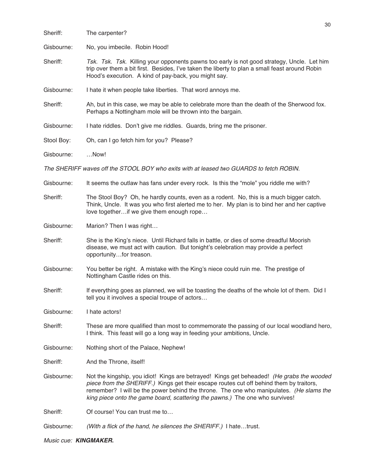|            | 30                                                                                                                                                                                                                                                                                                                                                              |
|------------|-----------------------------------------------------------------------------------------------------------------------------------------------------------------------------------------------------------------------------------------------------------------------------------------------------------------------------------------------------------------|
| Sheriff:   | The carpenter?                                                                                                                                                                                                                                                                                                                                                  |
| Gisbourne: | No, you imbecile. Robin Hood!                                                                                                                                                                                                                                                                                                                                   |
| Sheriff:   | Tsk. Tsk. Tsk. Killing your opponents pawns too early is not good strategy, Uncle. Let him<br>trip over them a bit first. Besides, I've taken the liberty to plan a small feast around Robin<br>Hood's execution. A kind of pay-back, you might say.                                                                                                            |
| Gisbourne: | I hate it when people take liberties. That word annoys me.                                                                                                                                                                                                                                                                                                      |
| Sheriff:   | Ah, but in this case, we may be able to celebrate more than the death of the Sherwood fox.<br>Perhaps a Nottingham mole will be thrown into the bargain.                                                                                                                                                                                                        |
| Gisbourne: | I hate riddles. Don't give me riddles. Guards, bring me the prisoner.                                                                                                                                                                                                                                                                                           |
| Stool Boy: | Oh, can I go fetch him for you? Please?                                                                                                                                                                                                                                                                                                                         |
| Gisbourne: | Now!                                                                                                                                                                                                                                                                                                                                                            |
|            | The SHERIFF waves off the STOOL BOY who exits with at leased two GUARDS to fetch ROBIN.                                                                                                                                                                                                                                                                         |
| Gisbourne: | It seems the outlaw has fans under every rock. Is this the "mole" you riddle me with?                                                                                                                                                                                                                                                                           |
| Sheriff:   | The Stool Boy? Oh, he hardly counts, even as a rodent. No, this is a much bigger catch.<br>Think, Uncle. It was you who first alerted me to her. My plan is to bind her and her captive<br>love togetherif we give them enough rope                                                                                                                             |
| Gisbourne: | Marion? Then I was right                                                                                                                                                                                                                                                                                                                                        |
| Sheriff:   | She is the King's niece. Until Richard falls in battle, or dies of some dreadful Moorish<br>disease, we must act with caution. But tonight's celebration may provide a perfect<br>opportunityfor treason.                                                                                                                                                       |
| Gisbourne: | You better be right. A mistake with the King's niece could ruin me. The prestige of<br>Nottingham Castle rides on this.                                                                                                                                                                                                                                         |
| Sheriff:   | If everything goes as planned, we will be toasting the deaths of the whole lot of them. Did I<br>tell you it involves a special troupe of actors                                                                                                                                                                                                                |
| Gisbourne: | I hate actors!                                                                                                                                                                                                                                                                                                                                                  |
| Sheriff:   | These are more qualified than most to commemorate the passing of our local woodland hero,<br>I think. This feast will go a long way in feeding your ambitions, Uncle.                                                                                                                                                                                           |
| Gisbourne: | Nothing short of the Palace, Nephew!                                                                                                                                                                                                                                                                                                                            |
| Sheriff:   | And the Throne, itself!                                                                                                                                                                                                                                                                                                                                         |
| Gisbourne: | Not the kingship, you idiot! Kings are betrayed! Kings get beheaded! (He grabs the wooded<br>piece from the SHERIFF.) Kings get their escape routes cut off behind them by traitors,<br>remember? I will be the power behind the throne. The one who manipulates. (He slams the<br>king piece onto the game board, scattering the pawns.) The one who survives! |
| Sheriff:   | Of course! You can trust me to                                                                                                                                                                                                                                                                                                                                  |
| Gisbourne: | (With a flick of the hand, he silences the SHERIFF.) I hatetrust.                                                                                                                                                                                                                                                                                               |

Music cue: **KINGMAKER.**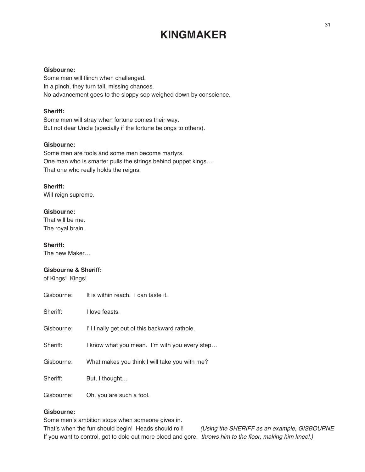## **KINGMAKER**

#### **Gisbourne:**

Some men will flinch when challenged. In a pinch, they turn tail, missing chances. No advancement goes to the sloppy sop weighed down by conscience.

#### **Sheriff:**

Some men will stray when fortune comes their way. But not dear Uncle (specially if the fortune belongs to others).

#### **Gisbourne:**

Some men are fools and some men become martyrs. One man who is smarter pulls the strings behind puppet kings… That one who really holds the reigns.

#### **Sheriff:**

Will reign supreme.

#### **Gisbourne:**

That will be me. The royal brain.

#### **Sheriff:**

The new Maker…

#### **Gisbourne & Sheriff:**

of Kings! Kings!

| Gisbourne: | It is within reach. I can taste it.            |
|------------|------------------------------------------------|
| Sheriff:   | I love feasts.                                 |
| Gisbourne: | I'll finally get out of this backward rathole. |
| Sheriff:   | I know what you mean. I'm with you every step  |
| Gisbourne: | What makes you think I will take you with me?  |
| Sheriff:   | But, I thought                                 |
| Gisbourne: | Oh, you are such a fool.                       |

#### **Gisbourne:**

Some men's ambition stops when someone gives in. That's when the fun should begin! Heads should roll! (Using the SHERIFF as an example, GISBOURNE If you want to control, got to dole out more blood and gore. throws him to the floor, making him kneel.)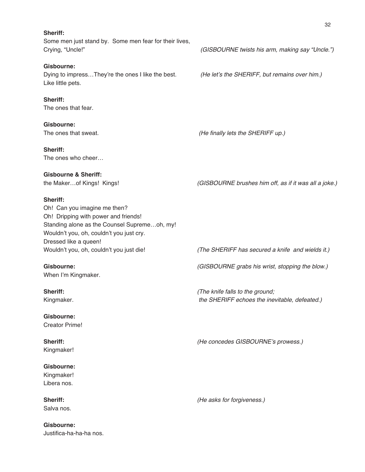**Sheriff:** Some men just stand by. Some men fear for their lives, Crying, "Uncle!" (GISBOURNE twists his arm, making say "Uncle.")

#### **Gisbourne:**

Dying to impress...They're the ones I like the best. (He let's the SHERIFF, but remains over him.) Like little pets.

**Sheriff:** The ones that fear.

**Gisbourne:** The ones that sweat.  $(He \, finally \, lets \, the \, SHERIFF \, up.)$ 

**Sheriff:**

The ones who cheer…

### **Gisbourne & Sheriff:**

the Maker...of Kings! Kings! (GISBOURNE brushes him off, as if it was all a joke.)

**Sheriff:**

Oh! Can you imagine me then? Oh! Dripping with power and friends! Standing alone as the Counsel Supreme…oh, my! Wouldn't you, oh, couldn't you just cry. Dressed like a queen!

When I'm Kingmaker.

**Gisbourne:** Creator Prime!

Kingmaker!

**Gisbourne:** Kingmaker! Libera nos.

Salva nos.

**Gisbourne:** Justifica-ha-ha-ha nos.

Wouldn't you, oh, couldn't you just die! (The SHERIFF has secured a knife and wields it.)

**Gisbourne:** (GISBOURNE grabs his wrist, stopping the blow.)

**Sheriff:**  $(The$  knife falls to the ground; Kingmaker. the SHERIFF echoes the inevitable, defeated.)

**Sheriff:** (He concedes GISBOURNE's prowess.)

**Sheriff:** (He asks for forgiveness.)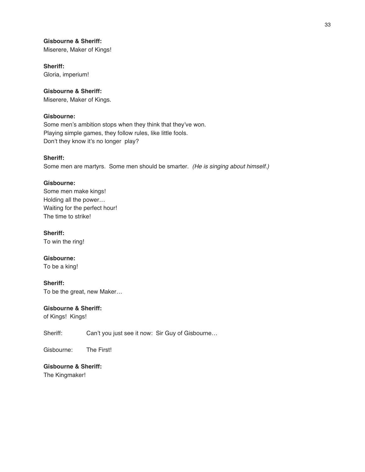#### **Gisbourne & Sheriff:**

Miserere, Maker of Kings!

### **Sheriff:**

Gloria, imperium!

#### **Gisbourne & Sheriff:**

Miserere, Maker of Kings.

#### **Gisbourne:**

Some men's ambition stops when they think that they've won. Playing simple games, they follow rules, like little fools. Don't they know it's no longer play?

#### **Sheriff:**

Some men are martyrs. Some men should be smarter. (He is singing about himself.)

#### **Gisbourne:**

Some men make kings! Holding all the power… Waiting for the perfect hour! The time to strike!

**Sheriff:** To win the ring!

**Gisbourne:**

To be a king!

**Sheriff:** To be the great, new Maker…

#### **Gisbourne & Sheriff:**

of Kings! Kings!

Sheriff: Can't you just see it now: Sir Guy of Gisbourne...

Gisbourne: The First!

**Gisbourne & Sheriff:** The Kingmaker!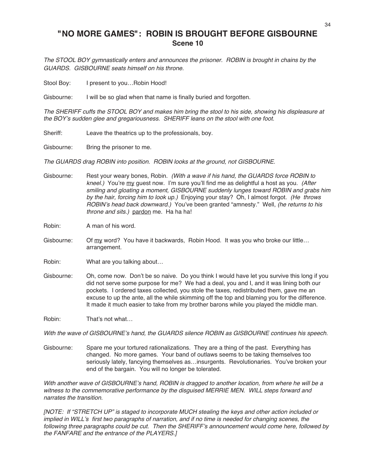### **"NO MORE GAMES": ROBIN IS BROUGHT BEFORE GISBOURNE Scene 10**

The STOOL BOY gymnastically enters and announces the prisoner. ROBIN is brought in chains by the GUARDS. GISBOURNE seats himself on his throne.

Stool Boy: I present to you... Robin Hood!

Gisbourne: I will be so glad when that name is finally buried and forgotten.

The SHERIFF cuffs the STOOL BOY and makes him bring the stool to his side, showing his displeasure at the BOY's sudden glee and gregariousness. SHERIFF leans on the stool with one foot.

Sheriff: Leave the theatrics up to the professionals, boy.

Gisbourne: Bring the prisoner to me.

The GUARDS drag ROBIN into position. ROBIN looks at the ground, not GISBOURNE.

Gisbourne: Rest your weary bones, Robin. (With a wave if his hand, the GUARDS force ROBIN to kneel.) You're my guest now. I'm sure you'll find me as delightful a host as you. (After smiling and gloating <sup>a</sup> moment, GISBOURNE suddenly lunges toward ROBIN and grabs him by the hair, forcing him to look up.) Enjoying your stay? Oh, I almost forgot. (He throws ROBIN's head back downward.) You've been granted "amnesty." Well, (he returns to his throne and sits.) pardon me. Ha ha ha!

Robin: A man of his word.

Gisbourne: Of my word? You have it backwards, Robin Hood. It was you who broke our little… arrangement.

Robin: What are you talking about…

Gisbourne: Oh, come now. Don't be so naive. Do you think I would have let you survive this long if you did not serve some purpose for me? We had a deal, you and I, and it was lining both our pockets. I ordered taxes collected, you stole the taxes, redistributed them, gave me an excuse to up the ante, all the while skimming off the top and blaming you for the difference. It made it much easier to take from my brother barons while you played the middle man.

Robin: That's not what…

With the wave of GISBOURNE's hand, the GUARDS silence ROBIN as GISBOURNE continues his speech.

Gisbourne: Spare me your tortured rationalizations. They are a thing of the past. Everything has changed. No more games. Your band of outlaws seems to be taking themselves too seriously lately, fancying themselves as…insurgents. Revolutionaries. You've broken your end of the bargain. You will no longer be tolerated.

With another wave of GISBOURNE's hand, ROBIN is dragged to another location, from where he will be a witness to the commemorative performance by the disguised MERRIE MEN. WILL steps forward and narrates the transition.

[NOTE: If "STRETCH UP" is staged to incorporate MUCH stealing the keys and other action included or implied in WILL's first two paragraphs of narration, and if no time is needed for changing scenes, the following three paragraphs could be cut. Then the SHERIFF's announcement would come here, followed by the FANFARE and the entrance of the PLAYERS.]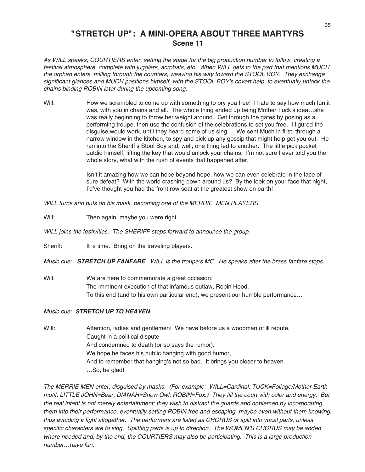### **"STRETCH UP": A MINI-OPERA ABOUT THREE MARTYRS Scene 11**

As WILL speaks, COURTIERS enter, setting the stage for the big production number to follow, creating <sup>a</sup> festival atmosphere, complete with jugglers, acrobats, etc. When WILL gets to the part that mentions MUCH, the orphan enters, milling through the courtiers, weaving his way toward the STOOL BOY. They exchange significant glances and MUCH positions himself, with the STOOL BOY's covert help, to eventually unlock the chains binding ROBIN later during the upcoming song.

Will: How we scrambled to come up with something to pry you free! I hate to say how much fun it was, with you in chains and all. The whole thing ended up being Mother Tuck's idea…she was really beginning to throw her weight around. Get through the gates by posing as a performing troupe, then use the confusion of the celebrations to set you free. I figured the disguise would work, until they heard some of us sing… We sent Much in first, through a narrow window in the kitchen, to spy and pick up any gossip that might help get you out. He ran into the Sheriff's Stool Boy and, well, one thing led to another. The little pick pocket outdid himself, lifting the key that would unlock your chains. I'm not sure I ever told you the whole story, what with the rush of events that happened after.

> Isn't it amazing how we can hope beyond hope, how we can even celebrate in the face of sure defeat? With the world crashing down around us? By the look on your face that night, I'd've thought you had the front row seat at the greatest show on earth!

WILL turns and puts on his mask, becoming one of the MERRIE MEN PLAYERS.

Will: Then again, maybe you were right.

WILL joins the festivities. The SHERIFF steps forward to announce the group.

Sheriff: It is time. Bring on the traveling players.

Music cue: **STRETCH UP FANFARE**. WILL is the troupe's MC. He speaks after the brass fanfare stops.

Will: We are here to commemorate a great occasion: The imminent execution of that infamous outlaw, Robin Hood. To this end (and to his own particular end), we present our humble performance…

Music cue: **STRETCH UP TO HEAVEN**.

WIII: Attention, ladies and gentlemen! We have before us a woodman of ill repute, Caught in a political dispute And condemned to death (or so says the rumor). We hope he faces his public hanging with good humor, And to remember that hanging's not so bad. It brings you closer to heaven. …So, be glad!

The MERRIE MEN enter, disguised by masks. (For example: WILL=Cardinal; TUCK=Foliage/Mother Earth motif; LITTLE JOHN=Bear; DIANAH=Snow Owl; ROBIN=Fox.) They fill the court with color and energy. But the real intent is not merely entertainment; they wish to distract the guards and noblemen by incorporating them into their performance, eventually setting ROBIN free and escaping, maybe even without them knowing, thus avoiding <sup>a</sup> fight altogether. The performers are listed as CHORUS or split into vocal parts, unless specific characters are to sing. Splitting parts is up to direction. The WOMEN'S CHORUS may be added where needed and, by the end, the COURTIERS may also be participating. This is <sup>a</sup> large production number…have fun.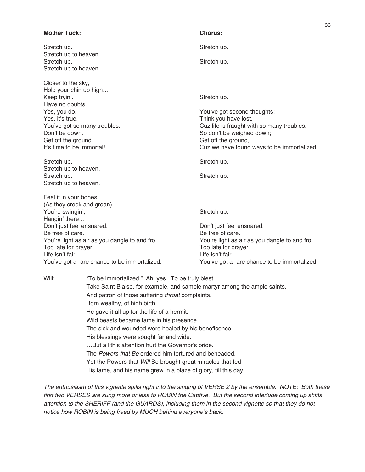| <b>Mother Tuck:</b>                            |                                                                           | <b>Chorus:</b>                                                          |  |
|------------------------------------------------|---------------------------------------------------------------------------|-------------------------------------------------------------------------|--|
| Stretch up.                                    |                                                                           | Stretch up.                                                             |  |
| Stretch up to heaven.                          |                                                                           |                                                                         |  |
| Stretch up.                                    |                                                                           | Stretch up.                                                             |  |
| Stretch up to heaven.                          |                                                                           |                                                                         |  |
| Closer to the sky,                             |                                                                           |                                                                         |  |
| Hold your chin up high                         |                                                                           |                                                                         |  |
| Keep tryin'.                                   |                                                                           | Stretch up.                                                             |  |
| Have no doubts.                                |                                                                           |                                                                         |  |
| Yes, you do.                                   |                                                                           | You've got second thoughts;                                             |  |
| Yes, it's true.                                |                                                                           | Think you have lost,                                                    |  |
| You've got so many troubles.<br>Don't be down. |                                                                           | Cuz life is fraught with so many troubles.<br>So don't be weighed down; |  |
| Get off the ground.                            |                                                                           | Get off the ground,                                                     |  |
| It's time to be immortal!                      |                                                                           | Cuz we have found ways to be immortalized.                              |  |
|                                                |                                                                           |                                                                         |  |
| Stretch up.                                    |                                                                           | Stretch up.                                                             |  |
| Stretch up to heaven.                          |                                                                           |                                                                         |  |
| Stretch up.                                    |                                                                           | Stretch up.                                                             |  |
| Stretch up to heaven.                          |                                                                           |                                                                         |  |
| Feel it in your bones                          |                                                                           |                                                                         |  |
| (As they creek and groan).                     |                                                                           |                                                                         |  |
| You're swingin',                               |                                                                           | Stretch up.                                                             |  |
| Hangin' there                                  |                                                                           | Don't just feel ensnared.                                               |  |
| Don't just feel ensnared.<br>Be free of care.  |                                                                           | Be free of care.                                                        |  |
|                                                | You're light as air as you dangle to and fro.                             | You're light as air as you dangle to and fro.                           |  |
| Too late for prayer.                           |                                                                           | Too late for prayer.                                                    |  |
| Life isn't fair.                               |                                                                           | Life isn't fair.                                                        |  |
|                                                | You've got a rare chance to be immortalized.                              | You've got a rare chance to be immortalized.                            |  |
| Will:                                          | "To be immortalized." Ah, yes. To be truly blest.                         |                                                                         |  |
|                                                | Take Saint Blaise, for example, and sample martyr among the ample saints, |                                                                         |  |
|                                                | And patron of those suffering throat complaints.                          |                                                                         |  |
|                                                | Born wealthy, of high birth,                                              |                                                                         |  |
|                                                |                                                                           |                                                                         |  |
|                                                | He gave it all up for the life of a hermit.                               |                                                                         |  |
|                                                | Wild beasts became tame in his presence.                                  |                                                                         |  |
|                                                | The sick and wounded were healed by his beneficence.                      |                                                                         |  |
|                                                | His blessings were sought far and wide.                                   |                                                                         |  |
|                                                | But all this attention hurt the Governor's pride.                         |                                                                         |  |
|                                                | The Powers that Be ordered him tortured and beheaded.                     |                                                                         |  |
|                                                | Yet the Powers that Will Be brought great miracles that fed               |                                                                         |  |

36

His fame, and his name grew in a blaze of glory, till this day!

The enthusiasm of this vignette spills right into the singing of VERSE 2 by the ensemble. NOTE: Both these first two VERSES are sung more or less to ROBIN the Captive. But the second interlude coming up shifts attention to the SHERIFF (and the GUARDS), including them in the second vignette so that they do not notice how ROBIN is being freed by MUCH behind everyone's back.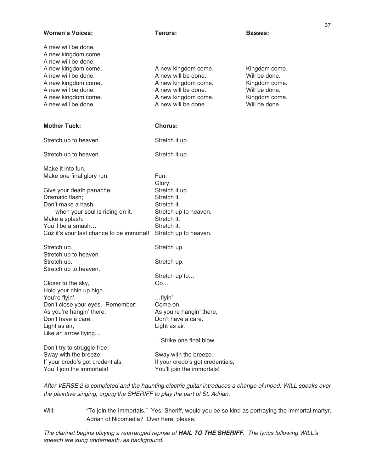| <b>Women's Voices:</b>                                            | Tenors:                                    | <b>Basses:</b>                 |
|-------------------------------------------------------------------|--------------------------------------------|--------------------------------|
| A new will be done.<br>A new kingdom come.<br>A new will be done. |                                            |                                |
| A new kingdom come.                                               | A new kingdom come.                        | Kingdom come.                  |
| A new will be done.                                               | A new will be done.                        | Will be done.                  |
| A new kingdom come.                                               | A new kingdom come.                        | Kingdom come.<br>Will be done. |
| A new will be done.<br>A new kingdom come.                        | A new will be done.<br>A new kingdom come. | Kingdom come.                  |
| A new will be done.                                               | A new will be done.                        | Will be done.                  |
|                                                                   |                                            |                                |
| <b>Mother Tuck:</b>                                               | <b>Chorus:</b>                             |                                |
| Stretch up to heaven.                                             | Stretch it up.                             |                                |
| Stretch up to heaven.                                             | Stretch it up.                             |                                |
| Make it into fun.                                                 |                                            |                                |
| Make one final glory run.                                         | Fun.<br>Glory.                             |                                |
| Give your death panache,                                          | Stretch it up.                             |                                |
| Dramatic flash;                                                   | Stretch it.                                |                                |
| Don't make a hash                                                 | Stretch it.                                |                                |
| when your soul is riding on it.<br>Make a splash.                 | Stretch up to heaven.<br>Stretch it.       |                                |
| You'll be a smash                                                 | Stretch it.                                |                                |
| Cuz it's your last chance to be immortal!                         | Stretch up to heaven.                      |                                |
| Stretch up.                                                       | Stretch up.                                |                                |
| Stretch up to heaven.                                             |                                            |                                |
| Stretch up.                                                       | Stretch up.                                |                                |
| Stretch up to heaven.                                             |                                            |                                |
|                                                                   | Stretch up to<br>Oo                        |                                |
| Closer to the sky,<br>Hold your chin up high                      |                                            |                                |
| You're flyin'.                                                    | $\cdots$<br>flyin'                         |                                |
| Don't close your eyes. Remember:                                  | Come on.                                   |                                |
| As you're hangin' there,                                          | As you're hangin' there,                   |                                |
| Don't have a care.                                                | Don't have a care.                         |                                |
| Light as air,                                                     | Light as air.                              |                                |
| Like an arrow flying                                              | Strike one final blow.                     |                                |
| Don't try to struggle free;                                       |                                            |                                |
| Sway with the breeze.                                             | Sway with the breeze.                      |                                |
| If your credo's got credentials,                                  | If your credo's got credentials,           |                                |
| You'll join the immortals!                                        | You'll join the immortals!                 |                                |
|                                                                   |                                            |                                |

After VERSE 2 is completed and the haunting electric guitar introduces <sup>a</sup> change of mood, WILL speaks over the plaintive singing, urging the SHERIFF to play the part of St. Adrian.

Will: "To join the Immortals." Yes, Sheriff, would you be so kind as portraying the immortal martyr, Adrian of Nicomedia? Over here, please.

The clarinet begins playing <sup>a</sup> rearranged reprise of **HAIL TO THE SHERIFF**. The lyrics following WILL's speech are sung underneath, as background.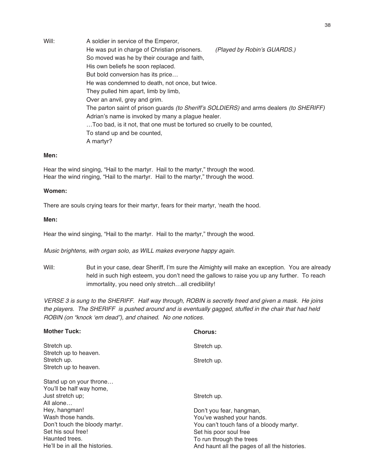Will: A soldier in service of the Emperor, He was put in charge of Christian prisoners. (Played by Robin's GUARDS.) So moved was he by their courage and faith, His own beliefs he soon replaced. But bold conversion has its price… He was condemned to death, not once, but twice. They pulled him apart, limb by limb, Over an anvil, grey and grim. The parton saint of prison guards (to Sheriff's SOLDIERS) and arms dealers (to SHERIFF) Adrian's name is invoked by many a plague healer. …Too bad, is it not, that one must be tortured so cruelly to be counted, To stand up and be counted, A martyr?

#### **Men:**

Hear the wind singing, "Hail to the martyr. Hail to the martyr," through the wood. Hear the wind ringing, "Hail to the martyr. Hail to the martyr," through the wood.

#### **Women:**

There are souls crying tears for their martyr, fears for their martyr, ʻneath the hood.

#### **Men:**

Hear the wind singing, "Hail to the martyr. Hail to the martyr," through the wood.

Music brightens, with organ solo, as WILL makes everyone happy again.

Will: But in your case, dear Sheriff, I'm sure the Almighty will make an exception. You are already held in such high esteem, you don't need the gallows to raise you up any further. To reach immortality, you need only stretch…all credibility!

VERSE 3 is sung to the SHERIFF. Half way through, ROBIN is secretly freed and given <sup>a</sup> mask. He joins the players. The SHERIFF is pushed around and is eventually gagged, stuffed in the chair that had held ROBIN (on "knock ʻem dead"), and chained. No one notices.

| <b>Chorus:</b>                                |
|-----------------------------------------------|
| Stretch up.                                   |
|                                               |
| Stretch up.                                   |
|                                               |
|                                               |
|                                               |
| Stretch up.                                   |
|                                               |
| Don't you fear, hangman,                      |
| You've washed your hands.                     |
| You can't touch fans of a bloody martyr.      |
| Set his poor soul free                        |
| To run through the trees                      |
| And haunt all the pages of all the histories. |
|                                               |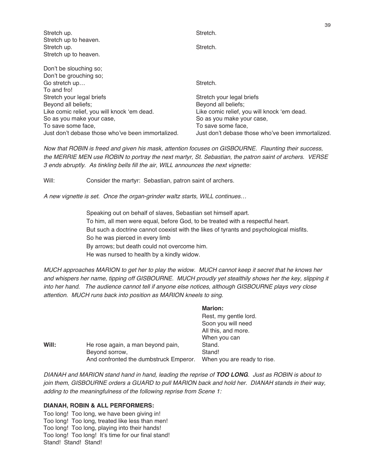| Stretch up.                                       | Stretch.                                          |
|---------------------------------------------------|---------------------------------------------------|
| Stretch up to heaven.<br>Stretch up.              | Stretch.                                          |
| Stretch up to heaven.                             |                                                   |
| Don't be slouching so;                            |                                                   |
| Don't be grouching so;                            |                                                   |
| Go stretch up                                     | Stretch.                                          |
| To and fro!                                       |                                                   |
| Stretch your legal briefs                         | Stretch your legal briefs                         |
| Beyond all beliefs;                               | Beyond all beliefs;                               |
| Like comic relief, you will knock 'em dead.       | Like comic relief, you will knock 'em dead.       |
| So as you make your case,                         | So as you make your case,                         |
| To save some face,                                | To save some face.                                |
| Just don't debase those who've been immortalized. | Just don't debase those who've been immortalized. |

39

Now that ROBIN is freed and given his mask, attention focuses on GISBOURNE. Flaunting their success, the MERRIE MEN use ROBIN to portray the next martyr, St. Sebastian, the patron saint of archers. VERSE 3 ends abruptly. As tinkling bells fill the air, WILL announces the next vignette:

Will: Consider the martyr: Sebastian, patron saint of archers.

A new vignette is set. Once the organ-grinder waltz starts, WILL continues…

Speaking out on behalf of slaves, Sebastian set himself apart. To him, all men were equal, before God, to be treated with a respectful heart. But such a doctrine cannot coexist with the likes of tyrants and psychological misfits. So he was pierced in every limb By arrows; but death could not overcome him. He was nursed to health by a kindly widow.

**Marion:**

MUCH approaches MARION to get her to play the widow. MUCH cannot keep it secret that he knows her and whispers her name, tipping off GISBOURNE. MUCH proudly yet stealthily shows her the key, slipping it into her hand. The audience cannot tell if anyone else notices, although GISBOURNE plays very close attention. MUCH runs back into position as MARION kneels to sing.

|       |                                        | MANUL.                      |
|-------|----------------------------------------|-----------------------------|
|       |                                        | Rest, my gentle lord.       |
|       |                                        | Soon you will need          |
|       |                                        | All this, and more.         |
|       |                                        | When you can                |
| Will: | He rose again, a man beyond pain,      | Stand.                      |
|       | Beyond sorrow,                         | Stand!                      |
|       | And confronted the dumbstruck Emperor. | When you are ready to rise. |
|       |                                        |                             |

DIANAH and MARION stand hand in hand, leading the reprise of **TOO LONG**. Just as ROBIN is about to join them, GISBOURNE orders a GUARD to pull MARION back and hold her. DIANAH stands in their way, adding to the meaningfulness of the following reprise from Scene 1:

#### **DIANAH, ROBIN & ALL PERFORMERS:**

Too long! Too long, we have been giving in! Too long! Too long, treated like less than men! Too long! Too long, playing into their hands! Too long! Too long! It's time for our final stand! Stand! Stand! Stand!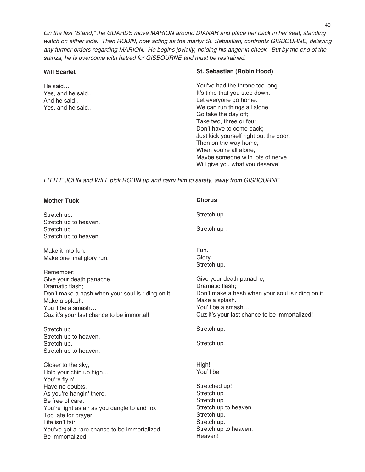On the last "Stand," the GUARDS move MARION around DIANAH and place her back in her seat, standing watch on either side. Then ROBIN, now acting as the martyr St. Sebastian, confronts GISBOURNE, delaying any further orders regarding MARION. He begins jovially, holding his anger in check. But by the end of the stanza, he is overcome with hatred for GISBOURNE and must be restrained.

#### **Will Scarlet**

He said… Yes, and he said… And he said… Yes, and he said…

#### **St. Sebastian (Robin Hood)**

You've had the throne too long. It's time that you step down. Let everyone go home. We can run things all alone. Go take the day off; Take two, three or four. Don't have to come back; Just kick yourself right out the door. Then on the way home, When you're all alone, Maybe someone with lots of nerve Will give you what you deserve!

LITTLE JOHN and WILL pick ROBIN up and carry him to safety, away from GISBOURNE.

| <b>Mother Tuck</b>                                               | <b>Chorus</b>                                     |
|------------------------------------------------------------------|---------------------------------------------------|
| Stretch up.                                                      | Stretch up.                                       |
| Stretch up to heaven.                                            |                                                   |
| Stretch up.<br>Stretch up to heaven.                             | Stretch up.                                       |
|                                                                  |                                                   |
| Make it into fun.                                                | Fun.                                              |
| Make one final glory run.                                        | Glory.                                            |
| Remember:                                                        | Stretch up.                                       |
| Give your death panache,                                         | Give your death panache,                          |
| Dramatic flash;                                                  | Dramatic flash;                                   |
| Don't make a hash when your soul is riding on it.                | Don't make a hash when your soul is riding on it. |
| Make a splash.                                                   | Make a splash.                                    |
| You'll be a smash                                                | You'll be a smash                                 |
| Cuz it's your last chance to be immortal!                        | Cuz it's your last chance to be immortalized!     |
|                                                                  |                                                   |
| Stretch up.                                                      | Stretch up.                                       |
| Stretch up to heaven.                                            |                                                   |
| Stretch up.                                                      | Stretch up.                                       |
| Stretch up to heaven.                                            |                                                   |
| Closer to the sky,                                               | High!                                             |
| Hold your chin up high                                           | You'll be                                         |
| You're flyin'.                                                   |                                                   |
| Have no doubts.                                                  | Stretched up!                                     |
| As you're hangin' there,<br>Be free of care.                     | Stretch up.<br>Stretch up.                        |
| You're light as air as you dangle to and fro.                    | Stretch up to heaven.                             |
| Too late for prayer.                                             | Stretch up.                                       |
| Life isn't fair.                                                 | Stretch up.                                       |
| You've got a rare chance to be immortalized.<br>Be immortalized! | Stretch up to heaven.<br>Heaven!                  |

40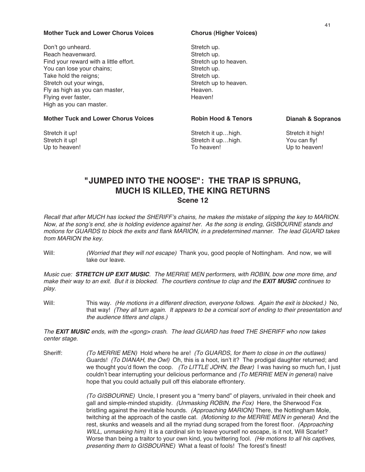#### **Mother Tuck and Lower Chorus Voices**

Don't go unheard. Reach heavenward. Find your reward with a little effort. You can lose your chains; Take hold the reigns; Stretch out your wings, Fly as high as you can master, Flying ever faster, High as you can master.

#### **Mother Tuck and Lower Chorus Voices**

Stretch it up! Stretch it up! Up to heaven!

#### **Chorus (Higher Voices)**

Stretch up. Stretch up. Stretch up to heaven. Stretch up. Stretch up. Stretch up to heaven. Heaven. Heaven!

#### **Robin Hood & Tenors**

Stretch it up…high. Stretch it up…high. To heaven!

**Dianah & Sopranos**

Stretch it high! You can fly! Up to heaven!

### **"JUMPED INTO THE NOOSE": THE TRAP IS SPRUNG, MUCH IS KILLED, THE KING RETURNS Scene 12**

Recall that after MUCH has locked the SHERIFF's chains, he makes the mistake of slipping the key to MARION. Now, at the song's end, she is holding evidence against her. As the song is ending, GISBOURNE stands and motions for GUARDS to block the exits and flank MARION, in <sup>a</sup> predetermined manner. The lead GUARD takes from MARION the key.

Will: (Worried that they will not escape) Thank you, good people of Nottingham. And now, we will take our leave.

Music cue: **STRETCH UP EXIT MUSIC**. The MERRIE MEN performers, with ROBIN, bow one more time, and make their way to an exit. But it is blocked. The courtiers continue to clap and the **EXIT MUSIC** continues to play.

Will: This way. (He motions in a different direction, everyone follows. Again the exit is blocked.) No, that way! (They all turn again. It appears to be <sup>a</sup> comical sort of ending to their presentation and the audience titters and claps.)

The **EXIT MUSIC** ends, with the <gong> crash. The lead GUARD has freed THE SHERIFF who now takes center stage.

Sheriff: (To MERRIE MEN) Hold where he are! (To GUARDS, for them to close in on the outlaws) Guards! (To DIANAH, the Owl) Oh, this is a hoot, isn't it? The prodigal daughter returned; and we thought you'd flown the coop. (To LITTLE JOHN, the Bear) I was having so much fun, I just couldn't bear interrupting your delicious performance and (To MERRIE MEN in general) naive hope that you could actually pull off this elaborate effrontery.

> (To GISBOURNE) Uncle, I present you a "merry band" of players, unrivaled in their cheek and gall and simple-minded stupidity. (Unmasking ROBIN, the Fox) Here, the Sherwood Fox bristling against the inevitable hounds. (Approaching MARION) There, the Nottingham Mole, twitching at the approach of the castle cat. (Motioning to the MERRIE MEN in general) And the rest, skunks and weasels and all the myriad dung scraped from the forest floor. (Approaching WILL, unmasking him) It is a cardinal sin to leave yourself no escape, is it not, Will Scarlet? Worse than being a traitor to your own kind, you twittering fool. (He motions to all his captives, presenting them to GISBOURNE) What a feast of fools! The forest's finest!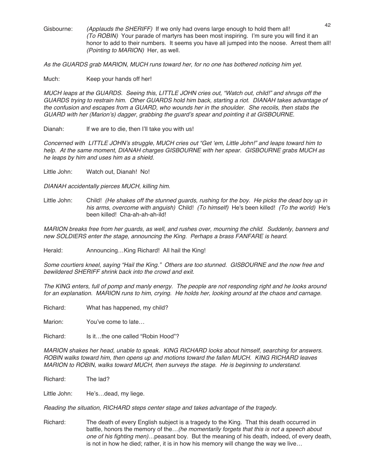Gisbourne: (Applauds the SHERIFF) If we only had ovens large enough to hold them all! (To ROBIN) Your parade of martyrs has been most inspiring. I'm sure you will find it an honor to add to their numbers. It seems you have all jumped into the noose. Arrest them all! (Pointing to MARION) Her, as well.

As the GUARDS grab MARION, MUCH runs toward her, for no one has bothered noticing him yet.

Much: Keep your hands off her!

MUCH leaps at the GUARDS. Seeing this, LITTLE JOHN cries out, "Watch out, child!" and shrugs off the GUARDS trying to restrain him. Other GUARDS hold him back, starting <sup>a</sup> riot. DIANAH takes advantage of the confusion and escapes from <sup>a</sup> GUARD, who wounds her in the shoulder. She recoils, then stabs the GUARD with her (Marion's) dagger, grabbing the guard's spear and pointing it at GISBOURNE.

Dianah: If we are to die, then I'll take you with us!

Concerned with LITTLE JOHN's struggle, MUCH cries out "Get ʻem, Little John!" and leaps toward him to help. At the same moment, DIANAH charges GISBOURNE with her spear. GISBOURNE grabs MUCH as he leaps by him and uses him as <sup>a</sup> shield.

Little John: Watch out, Dianah! No!

DIANAH accidentally pierces MUCH, killing him.

Little John: Child! (He shakes off the stunned guards, rushing for the boy. He picks the dead boy up in his arms, overcome with anguish) Child! (To himself) He's been killed! (To the world) He's been killed! Cha-ah-ah-ah-ild!

MARION breaks free from her guards, as well, and rushes over, mourning the child. Suddenly, banners and new SOLDIERS enter the stage, announcing the King. Perhaps <sup>a</sup> brass FANFARE is heard.

Herald: Announcing...King Richard! All hail the King!

Some courtiers kneel, saying "Hail the King." Others are too stunned. GISBOURNE and the now free and bewildered SHERIFF shrink back into the crowd and exit.

The KING enters, full of pomp and manly energy. The people are not responding right and he looks around for an explanation. MARION runs to him, crying. He holds her, looking around at the chaos and carnage.

Richard: What has happened, my child?

Marion: You've come to late...

Richard: Is it...the one called "Robin Hood"?

MARION shakes her head, unable to speak. KING RICHARD looks about himself, searching for answers. ROBIN walks toward him, then opens up and motions toward the fallen MUCH. KING RICHARD leaves MARION to ROBIN, walks toward MUCH, then surveys the stage. He is beginning to understand.

Richard: The lad?

Little John: He's...dead, my liege.

Reading the situation, RICHARD steps center stage and takes advantage of the tragedy.

Richard: The death of every English subject is a tragedy to the King. That this death occurred in battle, honors the memory of the... (he momentarily forgets that this is not a speech about one of his fighting men)…peasant boy. But the meaning of his death, indeed, of every death, is not in how he died; rather, it is in how his memory will change the way we live…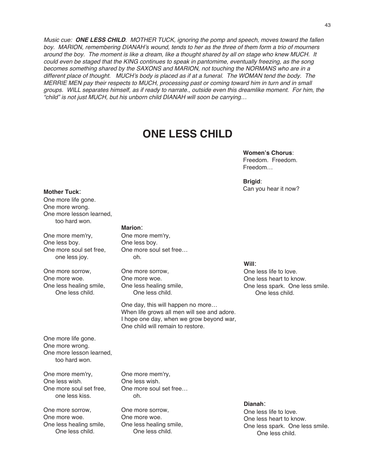Music cue: **ONE LESS CHILD**. MOTHER TUCK, ignoring the pomp and speech, moves toward the fallen boy. MARION, remembering DIANAH's wound, tends to her as the three of them form <sup>a</sup> trio of mourners around the boy. The moment is like <sup>a</sup> dream, like <sup>a</sup> thought shared by all on stage who knew MUCH. It could even be staged that the KING continues to speak in pantomime, eventually freezing, as the song becomes something shared by the SAXONS and MARION, not touching the NORMANS who are in a different place of thought. MUCH's body is placed as if at <sup>a</sup> funeral. The WOMAN tend the body. The MERRIE MEN pay their respects to MUCH, processing past or coming toward him in turn and in small groups. WILL separates himself, as if ready to narrate., outside even this dreamlike moment. For him, the "child" is not just MUCH, but his unborn child DIANAH will soon be carrying…

## **ONE LESS CHILD**

#### **Women's Chorus**: Freedom. Freedom. Freedom…

**Brigid**: Can you hear it now?

#### **Mother Tuck**:

One more life gone. One more wrong. One more lesson learned, too hard won.

One more mem'ry, One less boy. One more soul set free, one less joy.

One more sorrow, One more woe. One less healing smile, One less child.

#### **Marion**:

One more mem'ry, One less boy. One more soul set free… oh.

One more sorrow, One more woe. One less healing smile, One less child.

One day, this will happen no more… When life grows all men will see and adore. I hope one day, when we grow beyond war, One child will remain to restore.

One more life gone. One more wrong. One more lesson learned, too hard won.

One more mem'ry, One less wish. One more soul set free, one less kiss.

One more sorrow, One more woe. One less healing smile, One less child.

One more mem'ry, One less wish. One more soul set free… oh.

One more sorrow, One more woe. One less healing smile, One less child.

#### **Will**:

One less life to love. One less heart to know. One less spark. One less smile. One less child.

**Dianah**: One less life to love. One less heart to know. One less spark. One less smile. One less child.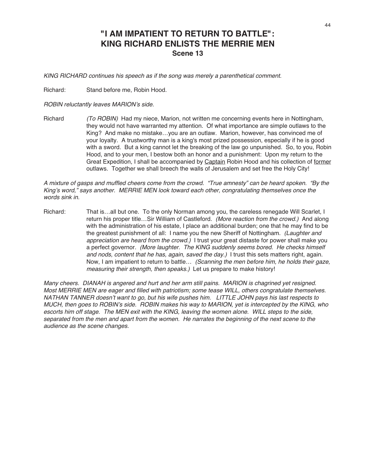### **"I AM IMPATIENT TO RETURN TO BATTLE": KING RICHARD ENLISTS THE MERRIE MEN Scene 13**

KING RICHARD continues his speech as if the song was merely <sup>a</sup> parenthetical comment.

Richard: Stand before me, Robin Hood.

ROBIN reluctantly leaves MARION's side.

Richard (To ROBIN) Had my niece, Marion, not written me concerning events here in Nottingham, they would not have warranted my attention. Of what importance are simple outlaws to the King? And make no mistake…you are an outlaw. Marion, however, has convinced me of your loyalty. A trustworthy man is a king's most prized possession, especially if he is good with a sword. But a king cannot let the breaking of the law go unpunished. So, to you, Robin Hood, and to your men, I bestow both an honor and a punishment: Upon my return to the Great Expedition, I shall be accompanied by Captain Robin Hood and his collection of former outlaws. Together we shall breech the walls of Jerusalem and set free the Holy City!

A mixture of gasps and muffled cheers come from the crowd. "True amnesty" can be heard spoken. "By the King's word," says another. MERRIE MEN look toward each other, congratulating themselves once the words sink in.

Richard: That is...all but one. To the only Norman among you, the careless renegade Will Scarlet, I return his proper title...Sir William of Castleford. (More reaction from the crowd.) And along with the administration of his estate, I place an additional burden; one that he may find to be the greatest punishment of all: I name you the new Sheriff of Nottingham. (Laughter and appreciation are heard from the crowd.) I trust your great distaste for power shall make you a perfect governor. (More laughter. The KING suddenly seems bored. He checks himself and nods, content that he has, again, saved the day.) I trust this sets matters right, again. Now, I am impatient to return to battle... (Scanning the men before him, he holds their gaze, measuring their strength, then speaks.) Let us prepare to make history!

Many cheers. DIANAH is angered and hurt and her arm still pains. MARION is chagrined yet resigned. Most MERRIE MEN are eager and filled with patriotism; some tease WILL, others congratulate themselves. NATHAN TANNER doesn't want to go, but his wife pushes him. LITTLE JOHN pays his last respects to MUCH, then goes to ROBIN's side. ROBIN makes his way to MARION, yet is intercepted by the KING, who escorts him off stage. The MEN exit with the KING, leaving the women alone. WILL steps to the side, separated from the men and apart from the women. He narrates the beginning of the next scene to the audience as the scene changes.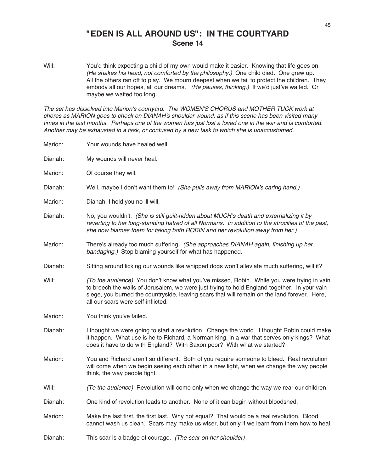### **"EDEN IS ALL AROUND US": IN THE COURTYARD Scene 14**

Will: You'd think expecting a child of my own would make it easier. Knowing that life goes on. (He shakes his head, not comforted by the philosophy.) One child died. One grew up. All the others ran off to play. We mourn deepest when we fail to protect the children. They embody all our hopes, all our dreams. (He pauses, thinking.) If we'd just've waited. Or maybe we waited too long…

The set has dissolved into Marion's courtyard. The WOMEN'S CHORUS and MOTHER TUCK work at chores as MARION goes to check on DIANAH's shoulder wound, as if this scene has been visited many times in the last months. Perhaps one of the women has just lost <sup>a</sup> loved one in the war and is comforted. Another may be exhausted in <sup>a</sup> task, or confused by <sup>a</sup> new task to which she is unaccustomed.

| Marion: | Your wounds have healed well.                                                                                                                                                                                                                                                                                                   |
|---------|---------------------------------------------------------------------------------------------------------------------------------------------------------------------------------------------------------------------------------------------------------------------------------------------------------------------------------|
| Dianah: | My wounds will never heal.                                                                                                                                                                                                                                                                                                      |
| Marion: | Of course they will.                                                                                                                                                                                                                                                                                                            |
| Dianah: | Well, maybe I don't want them to! (She pulls away from MARION's caring hand.)                                                                                                                                                                                                                                                   |
| Marion: | Dianah, I hold you no ill will.                                                                                                                                                                                                                                                                                                 |
| Dianah: | No, you wouldn't. (She is still guilt-ridden about MUCH's death and externalizing it by<br>reverting to her long-standing hatred of all Normans. In addition to the atrocities of the past,<br>she now blames them for taking both ROBIN and her revolution away from her.)                                                     |
| Marion: | There's already too much suffering. (She approaches DIANAH again, finishing up her<br>bandaging.) Stop blaming yourself for what has happened.                                                                                                                                                                                  |
| Dianah: | Sitting around licking our wounds like whipped dogs won't alleviate much suffering, will it?                                                                                                                                                                                                                                    |
| Will:   | (To the audience) You don't know what you've missed, Robin. While you were trying in vain<br>to breech the walls of Jerusalem, we were just trying to hold England together. In your vain<br>siege, you burned the countryside, leaving scars that will remain on the land forever. Here,<br>all our scars were self-inflicted. |
| Marion: | You think you've failed.                                                                                                                                                                                                                                                                                                        |
| Dianah: | I thought we were going to start a revolution. Change the world. I thought Robin could make<br>it happen. What use is he to Richard, a Norman king, in a war that serves only kings? What<br>does it have to do with England? With Saxon poor? With what we started?                                                            |
| Marion: | You and Richard aren't so different. Both of you require someone to bleed. Real revolution<br>will come when we begin seeing each other in a new light, when we change the way people<br>think, the way people fight.                                                                                                           |
| Will:   | (To the audience) Revolution will come only when we change the way we rear our children.                                                                                                                                                                                                                                        |
| Dianah: | One kind of revolution leads to another. None of it can begin without bloodshed.                                                                                                                                                                                                                                                |
| Marion: | Make the last first, the first last. Why not equal? That would be a real revolution. Blood<br>cannot wash us clean. Scars may make us wiser, but only if we learn from them how to heal.                                                                                                                                        |
| Dianah: | This scar is a badge of courage. (The scar on her shoulder)                                                                                                                                                                                                                                                                     |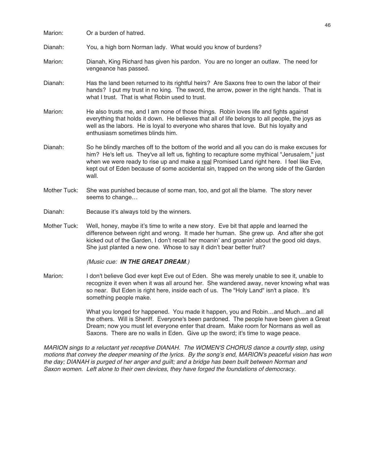| Marion:      | Or a burden of hatred.                                                                                                                                                                                                                                                                                                                                                                        |
|--------------|-----------------------------------------------------------------------------------------------------------------------------------------------------------------------------------------------------------------------------------------------------------------------------------------------------------------------------------------------------------------------------------------------|
| Dianah:      | You, a high born Norman lady. What would you know of burdens?                                                                                                                                                                                                                                                                                                                                 |
| Marion:      | Dianah, King Richard has given his pardon. You are no longer an outlaw. The need for<br>vengeance has passed.                                                                                                                                                                                                                                                                                 |
| Dianah:      | Has the land been returned to its rightful heirs? Are Saxons free to own the labor of their<br>hands? I put my trust in no king. The sword, the arrow, power in the right hands. That is<br>what I trust. That is what Robin used to trust.                                                                                                                                                   |
| Marion:      | He also trusts me, and I am none of those things. Robin loves life and fights against<br>everything that holds it down. He believes that all of life belongs to all people, the joys as<br>well as the labors. He is loyal to everyone who shares that love. But his loyalty and<br>enthusiasm sometimes blinds him.                                                                          |
| Dianah:      | So he blindly marches off to the bottom of the world and all you can do is make excuses for<br>him? He's left us. They've all left us, fighting to recapture some mythical "Jerusalem," just<br>when we were ready to rise up and make a real Promised Land right here. I feel like Eve,<br>kept out of Eden because of some accidental sin, trapped on the wrong side of the Garden<br>wall. |
| Mother Tuck: | She was punished because of some man, too, and got all the blame. The story never<br>seems to change                                                                                                                                                                                                                                                                                          |
| Dianah:      | Because it's always told by the winners.                                                                                                                                                                                                                                                                                                                                                      |
| Mother Tuck: | Well, honey, maybe it's time to write a new story. Eve bit that apple and learned the                                                                                                                                                                                                                                                                                                         |

Mother Tuck: Well, honey, maybe it's time to write a new story. Eve bit that apple and learned the difference between right and wrong. It made her human. She grew up. And after she got kicked out of the Garden, I don't recall her moanin' and groanin' about the good old days. She just planted a new one. Whose to say it didn't bear better fruit?

(Music cue: **IN THE GREAT DREAM**.)

Marion: I don't believe God ever kept Eve out of Eden. She was merely unable to see it, unable to recognize it even when it was all around her. She wandered away, never knowing what was so near. But Eden is right here, inside each of us. The "Holy Land" isn't a place. It's something people make.

> What you longed for happened. You made it happen, you and Robin…and Much…and all the others. Will is Sheriff. Everyone's been pardoned. The people have been given a Great Dream; now you must let everyone enter that dream. Make room for Normans as well as Saxons. There are no walls in Eden. Give up the sword; it's time to wage peace.

MARION sings to <sup>a</sup> reluctant yet receptive DIANAH. The WOMEN'S CHORUS dance <sup>a</sup> courtly step, using motions that convey the deeper meaning of the lyrics. By the song's end, MARION's peaceful vision has won the day; DIANAH is purged of her anger and guilt; and <sup>a</sup> bridge has been built between Norman and Saxon women. Left alone to their own devices, they have forged the foundations of democracy.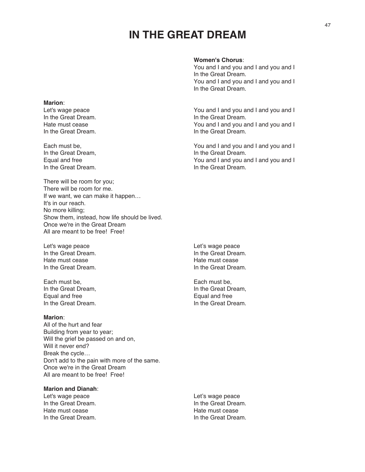## **IN THE GREAT DREAM**

#### **Women's Chorus**:

You and I and you and I and you and I In the Great Dream. You and I and you and I and you and I In the Great Dream.

Let's wage peace You and I and you and I and you and I In the Great Dream. In the Great Dream. Hate must cease You and I and you and I and you and I and you and I and you and I and you and I and you and I

Each must be, You and I and you and I and you and I In the Great Dream, In the Great Dream. Equal and free You and I and you and I and you and I and you and I and you and I and you and I and you and I and you and I and you and I and you and I and you and I and you and I and you and I and you and I and you and I a

There will be room for you; There will be room for me. If we want, we can make it happen… It's in our reach. No more killing; Show them, instead, how life should be lived. Once we're in the Great Dream All are meant to be free! Free!

Let's wage peace **Let's wage peace** In the Great Dream. In the Great Dream. Hate must cease Hate must cease In the Great Dream. In the Great Dream.

Each must be,<br>
In the Great Dream,<br>
In the Great Dream, In the Great Dream, Equal and free Equal and free Equal and free Equal and free Equal and free Equal and free Equal and free Equal and free Equal and free Equal and free Equal and free Equal and free Equal and free Equal and free Equal and fr In the Great Dream.

#### **Marion**:

**Marion**:

In the Great Dream.

In the Great Dream.

All of the hurt and fear Building from year to year; Will the grief be passed on and on, Will it never end? Break the cycle… Don't add to the pain with more of the same. Once we're in the Great Dream All are meant to be free! Free!

#### **Marion and Dianah**:

Let's wage peace <br>
In the Great Dream. The Contract of the Creat Dream.<br>
Let's wage peace and the Creat Dream. In the Great Dream. Hate must cease **Hate must cease** Hate must cease In the Great Dream. In the Great Dream.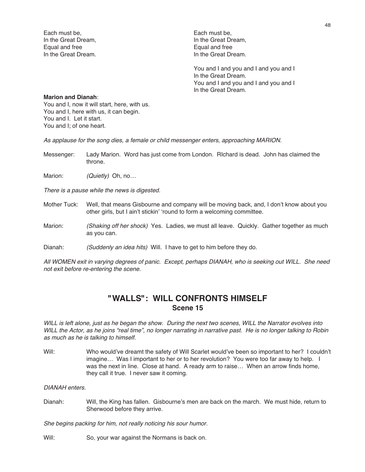Each must be, Each must be, Equal and free Equal and free

In the Great Dream, In the Great Dream, In the Great Dream. In the Great Dream.

> You and I and you and I and you and I In the Great Dream. You and I and you and I and you and I In the Great Dream.

#### **Marion and Dianah**:

You and I, now it will start, here, with us. You and I, here with us, it can begin. You and I. Let it start. You and I; of one heart.

As applause for the song dies, <sup>a</sup> female or child messenger enters, approaching MARION.

- Messenger: Lady Marion. Word has just come from London. RIchard is dead. John has claimed the throne.
- Marion: (Quietly) Oh, no...

There is <sup>a</sup> pause while the news is digested.

- Mother Tuck: Well, that means Gisbourne and company will be moving back, and, I don't know about you other girls, but I ain't stickin' ʻround to form a welcoming committee.
- Marion: (Shaking off her shock) Yes. Ladies, we must all leave. Quickly. Gather together as much as you can.
- Dianah: (Suddenly an idea hits) Will. I have to get to him before they do.

All WOMEN exit in varying degrees of panic. Except, perhaps DIANAH, who is seeking out WILL. She need not exit before re-entering the scene.

### **"WALLS": WILL CONFRONTS HIMSELF Scene 15**

WILL is left alone, just as he began the show. During the next two scenes, WILL the Narrator evolves into WILL the Actor, as he joins "real time", no longer narrating in narrative past. He is no longer talking to Robin as much as he is talking to himself.

Will: Who would've dreamt the safety of Will Scarlet would've been so important to her? I couldn't imagine… Was I important to her or to her revolution? You were too far away to help. I was the next in line. Close at hand. A ready arm to raise… When an arrow finds home, they call it true. I never saw it coming.

#### DIANAH enters.

Dianah: Will, the King has fallen. Gisbourne's men are back on the march. We must hide, return to Sherwood before they arrive.

She begins packing for him, not really noticing his sour humor.

Will: So, your war against the Normans is back on.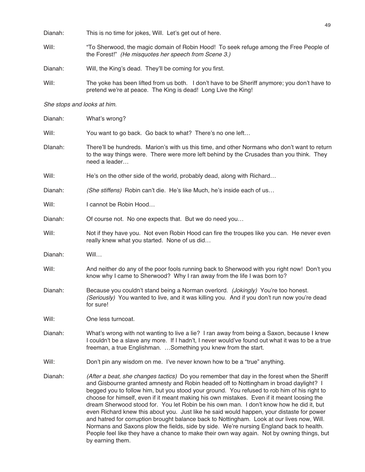| Dianah:                     | This is no time for jokes, Will. Let's get out of here.                                                                                                                                                                                                                                                                                                                                                                                                                                                                                                                                                                                                                                                                                                            |  |  |  |  |
|-----------------------------|--------------------------------------------------------------------------------------------------------------------------------------------------------------------------------------------------------------------------------------------------------------------------------------------------------------------------------------------------------------------------------------------------------------------------------------------------------------------------------------------------------------------------------------------------------------------------------------------------------------------------------------------------------------------------------------------------------------------------------------------------------------------|--|--|--|--|
| Will:                       | "To Sherwood, the magic domain of Robin Hood! To seek refuge among the Free People of<br>the Forest!" (He misquotes her speech from Scene 3.)                                                                                                                                                                                                                                                                                                                                                                                                                                                                                                                                                                                                                      |  |  |  |  |
| Dianah:                     | Will, the King's dead. They'll be coming for you first.                                                                                                                                                                                                                                                                                                                                                                                                                                                                                                                                                                                                                                                                                                            |  |  |  |  |
| Will:                       | The yoke has been lifted from us both. I don't have to be Sheriff anymore; you don't have to<br>pretend we're at peace. The King is dead! Long Live the King!                                                                                                                                                                                                                                                                                                                                                                                                                                                                                                                                                                                                      |  |  |  |  |
| She stops and looks at him. |                                                                                                                                                                                                                                                                                                                                                                                                                                                                                                                                                                                                                                                                                                                                                                    |  |  |  |  |
| Dianah:                     | What's wrong?                                                                                                                                                                                                                                                                                                                                                                                                                                                                                                                                                                                                                                                                                                                                                      |  |  |  |  |
| Will:                       | You want to go back. Go back to what? There's no one left                                                                                                                                                                                                                                                                                                                                                                                                                                                                                                                                                                                                                                                                                                          |  |  |  |  |
| Dlanah:                     | There'll be hundreds. Marion's with us this time, and other Normans who don't want to return<br>to the way things were. There were more left behind by the Crusades than you think. They<br>need a leader                                                                                                                                                                                                                                                                                                                                                                                                                                                                                                                                                          |  |  |  |  |
| Will:                       | He's on the other side of the world, probably dead, along with Richard                                                                                                                                                                                                                                                                                                                                                                                                                                                                                                                                                                                                                                                                                             |  |  |  |  |
| Dianah:                     | (She stiffens) Robin can't die. He's like Much, he's inside each of us                                                                                                                                                                                                                                                                                                                                                                                                                                                                                                                                                                                                                                                                                             |  |  |  |  |
| Will:                       | I cannot be Robin Hood                                                                                                                                                                                                                                                                                                                                                                                                                                                                                                                                                                                                                                                                                                                                             |  |  |  |  |
| Dianah:                     | Of course not. No one expects that. But we do need you                                                                                                                                                                                                                                                                                                                                                                                                                                                                                                                                                                                                                                                                                                             |  |  |  |  |
| Will:                       | Not if they have you. Not even Robin Hood can fire the troupes like you can. He never even<br>really knew what you started. None of us did                                                                                                                                                                                                                                                                                                                                                                                                                                                                                                                                                                                                                         |  |  |  |  |
| Dianah:                     | Will                                                                                                                                                                                                                                                                                                                                                                                                                                                                                                                                                                                                                                                                                                                                                               |  |  |  |  |
| Will:                       | And neither do any of the poor fools running back to Sherwood with you right now! Don't you<br>know why I came to Sherwood? Why I ran away from the life I was born to?                                                                                                                                                                                                                                                                                                                                                                                                                                                                                                                                                                                            |  |  |  |  |
| Dianah:                     | Because you couldn't stand being a Norman overlord. (Jokingly) You're too honest.<br>(Seriously) You wanted to live, and it was killing you. And if you don't run now you're dead<br>for sure!                                                                                                                                                                                                                                                                                                                                                                                                                                                                                                                                                                     |  |  |  |  |
| Will:                       | One less turncoat.                                                                                                                                                                                                                                                                                                                                                                                                                                                                                                                                                                                                                                                                                                                                                 |  |  |  |  |
| Dianah:                     | What's wrong with not wanting to live a lie? I ran away from being a Saxon, because I knew<br>I couldn't be a slave any more. If I hadn't, I never would've found out what it was to be a true<br>freeman, a true Englishman.  Something you knew from the start.                                                                                                                                                                                                                                                                                                                                                                                                                                                                                                  |  |  |  |  |
| Will:                       | Don't pin any wisdom on me. I've never known how to be a "true" anything.                                                                                                                                                                                                                                                                                                                                                                                                                                                                                                                                                                                                                                                                                          |  |  |  |  |
| Dianah:                     | (After a beat, she changes tactics) Do you remember that day in the forest when the Sheriff<br>and Gisbourne granted amnesty and Robin headed off to Nottingham in broad daylight? I<br>begged you to follow him, but you stood your ground. You refused to rob him of his right to<br>choose for himself, even if it meant making his own mistakes. Even if it meant loosing the<br>dream Sherwood stood for. You let Robin be his own man. I don't know how he did it, but<br>even Richard knew this about you. Just like he said would happen, your distaste for power<br>and hatred for corruption brought balance back to Nottingham. Look at our lives now, Will.<br>Normans and Saxons plow the fields, side by side. We're nursing England back to health. |  |  |  |  |

49

People feel like they have a chance to make their own way again. Not by owning things, but

by earning them.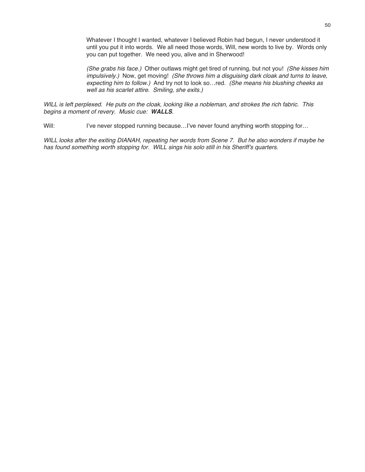Whatever I thought I wanted, whatever I believed Robin had begun, I never understood it until you put it into words. We all need those words, Will, new words to live by. Words only you can put together. We need you, alive and in Sherwood!

(She grabs his face.) Other outlaws might get tired of running, but not you! (She kisses him impulsively.) Now, get moving! (She throws him a disguising dark cloak and turns to leave, expecting him to follow.) And try not to look so…red. (She means his blushing cheeks as well as his scarlet attire. Smiling, she exits.)

WILL is left perplexed. He puts on the cloak, looking like <sup>a</sup> nobleman, and strokes the rich fabric. This begins <sup>a</sup> moment of revery. Music cue: **WALLS**.

Will: I've never stopped running because...I've never found anything worth stopping for...

WILL looks after the exiting DIANAH, repeating her words from Scene 7. But he also wonders if maybe he has found something worth stopping for. WILL sings his solo still in his Sheriff's quarters.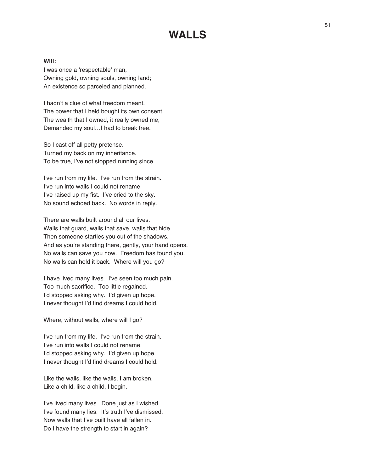### **WALLS**

#### **Will:**

I was once a ʻrespectable' man, Owning gold, owning souls, owning land; An existence so parceled and planned.

I hadn't a clue of what freedom meant. The power that I held bought its own consent. The wealth that I owned, it really owned me, Demanded my soul…I had to break free.

So I cast off all petty pretense. Turned my back on my inheritance. To be true, I've not stopped running since.

I've run from my life. I've run from the strain. I've run into walls I could not rename. I've raised up my fist. I've cried to the sky. No sound echoed back. No words in reply.

There are walls built around all our lives. Walls that guard, walls that save, walls that hide. Then someone startles you out of the shadows. And as you're standing there, gently, your hand opens. No walls can save you now. Freedom has found you. No walls can hold it back. Where will you go?

I have lived many lives. I've seen too much pain. Too much sacrifice. Too little regained. I'd stopped asking why. I'd given up hope. I never thought I'd find dreams I could hold.

Where, without walls, where will I go?

I've run from my life. I've run from the strain. I've run into walls I could not rename. I'd stopped asking why. I'd given up hope. I never thought I'd find dreams I could hold.

Like the walls, like the walls, I am broken. Like a child, like a child, I begin.

I've lived many lives. Done just as I wished. I've found many lies. It's truth I've dismissed. Now walls that I've built have all fallen in. Do I have the strength to start in again?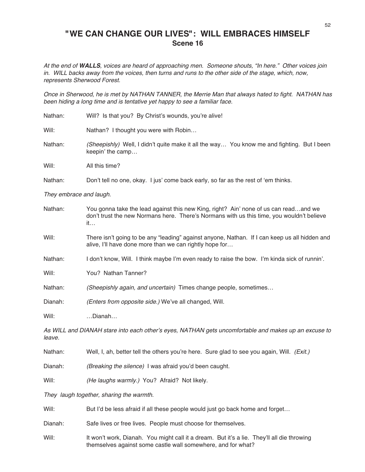### **"WE CAN CHANGE OUR LIVES": WILL EMBRACES HIMSELF Scene 16**

At the end of **WALLS**, voices are heard of approaching men. Someone shouts, "In here." Other voices join in. WILL backs away from the voices, then turns and runs to the other side of the stage, which, now, represents Sherwood Forest.

Once in Sherwood, he is met by NATHAN TANNER, the Merrie Man that always hated to fight. NATHAN has been hiding <sup>a</sup> long time and is tentative yet happy to see <sup>a</sup> familiar face.

| Nathan: | Will? Is that you? By Christ's wounds, you're alive!                                                           |  |  |  |  |
|---------|----------------------------------------------------------------------------------------------------------------|--|--|--|--|
| Will:   | Nathan? I thought you were with Robin                                                                          |  |  |  |  |
| Nathan: | (Sheepishly) Well, I didn't quite make it all the way You know me and fighting. But I been<br>keepin' the camp |  |  |  |  |
| Will:   | All this time?                                                                                                 |  |  |  |  |
| Nathan: | Don't tell no one, okay. I jus' come back early, so far as the rest of 'em thinks.                             |  |  |  |  |
|         |                                                                                                                |  |  |  |  |

They embrace and laugh.

| Nathan: | You gonna take the lead against this new King, right? Ain' none of us can readand we      |
|---------|-------------------------------------------------------------------------------------------|
|         | don't trust the new Normans here. There's Normans with us this time, you wouldn't believe |
|         | $\mathfrak{m}$                                                                            |
|         |                                                                                           |

- Will: There isn't going to be any "leading" against anyone, Nathan. If I can keep us all hidden and alive, I'll have done more than we can rightly hope for…
- Nathan: I don't know, Will. I think maybe I'm even ready to raise the bow. I'm kinda sick of runnin'.

Will: **You? Nathan Tanner?** 

Nathan: (Sheepishly again, and uncertain) Times change people, sometimes...

Dianah: (Enters from opposite side.) We've all changed, Will.

Will: …Dianah…

As WILL and DIANAH stare into each other's eyes, NATHAN gets uncomfortable and makes up an excuse to leave.

Nathan: Well, I, ah, better tell the others you're here. Sure glad to see you again, Will. (Exit.)

Dianah: (Breaking the silence) I was afraid you'd been caught.

Will: (He laughs warmly.) You? Afraid? Not likely.

They laugh together, sharing the warmth.

Will: But I'd be less afraid if all these people would just go back home and forget...

Dianah: Safe lives or free lives. People must choose for themselves.

Will: It won't work, Dianah. You might call it a dream. But it's a lie. They'll all die throwing themselves against some castle wall somewhere, and for what?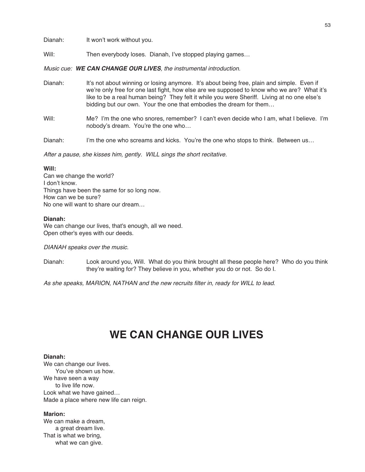Will: Then everybody loses. Dianah, I've stopped playing games...

Music cue: **WE CAN CHANGE OUR LIVES**, the instrumental introduction.

- Dianah: It's not about winning or losing anymore. It's about being free, plain and simple. Even if we're only free for one last fight, how else are we supposed to know who we are? What it's like to be a real human being? They felt it while you were Sheriff. Living at no one else's bidding but our own. Your the one that embodies the dream for them…
- Will: Me? I'm the one who snores, remember? I can't even decide who I am, what I believe. I'm nobody's dream. You're the one who…
- Dianah: I'm the one who screams and kicks. You're the one who stops to think. Between us...

After <sup>a</sup> pause, she kisses him, gently. WILL sings the short recitative.

#### **Will:**

Can we change the world? I don't know. Things have been the same for so long now. How can we be sure? No one will want to share our dream…

#### **Dianah:**

We can change our lives, that's enough, all we need. Open other's eyes with our deeds.

DIANAH speaks over the music.

Dianah: Look around you, Will. What do you think brought all these people here? Who do you think they're waiting for? They believe in you, whether you do or not. So do I.

As she speaks, MARION, NATHAN and the new recruits filter in, ready for WILL to lead.

## **WE CAN CHANGE OUR LIVES**

#### **Dianah:**

We can change our lives. You've shown us how. We have seen a way to live life now. Look what we have gained… Made a place where new life can reign.

#### **Marion:**

We can make a dream, a great dream live. That is what we bring, what we can give.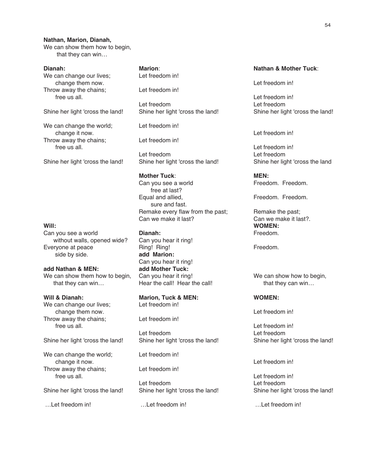#### **Nathan, Marion, Dianah,**

We can show them how to begin, that they can win…

#### **Dianah:**

We can change our lives; change them now. Throw away the chains; free us all.

Shine her light 'cross the land!

We can change the world; change it now. Throw away the chains; free us all.

Shine her light 'cross the land!

#### **Will:**

Can you see a world without walls, opened wide? Everyone at peace side by side.

**add Nathan & MEN:** We can show them how to begin, that they can win…

#### **Will & Dianah:**

We can change our lives; change them now. Throw away the chains; free us all.

Shine her light 'cross the land!

We can change the world; change it now. Throw away the chains; free us all.

Shine her light 'cross the land!

…Let freedom in!

**Marion**: Let freedom in!

Let freedom in!

Let freedom Shine her light 'cross the land!

Let freedom in!

Let freedom in!

Let freedom Shine her light 'cross the land!

#### **Mother Tuck**:

Can you see a world free at last? Equal and allied, sure and fast. Remake every flaw from the past; Can we make it last?

#### **Dianah:**

Can you hear it ring! Ring! Ring! **add Marion:** Can you hear it ring! **add Mother Tuck:** Can you hear it ring! Hear the call! Hear the call!

**Marion, Tuck & MEN:** Let freedom in!

Let freedom in!

Let freedom Shine her light 'cross the land!

Let freedom in!

Let freedom in!

Let freedom Shine her light 'cross the land!

…Let freedom in!

#### **Nathan & Mother Tuck**:

Let freedom in!

Let freedom in! Let freedom Shine her light 'cross the land!

Let freedom in!

Let freedom in! Let freedom Shine her light 'cross the land

**MEN:** Freedom. Freedom.

Freedom. Freedom.

Remake the past; Can we make it last?. **WOMEN:** Freedom.

Freedom.

We can show how to begin, that they can win…

#### **WOMEN:**

Let freedom in!

Let freedom in! Let freedom Shine her light 'cross the land!

Let freedom in!

Let freedom in! Let freedom Shine her light 'cross the land!

…Let freedom in!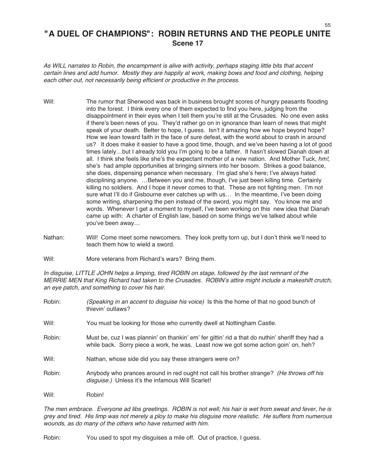### **"A DUEL OF CHAMPIONS": ROBIN RETURNS AND THE PEOPLE UNITE Scene 17**

As WILL narrates to Robin, the encampment is alive with activity, perhaps staging little bits that accent certain lines and add humor. Mostly they are happily at work, making bows and food and clothing, helping each other out, not necessarily being efficient or productive in the process.

- Will: The rumor that Sherwood was back in business brought scores of hungry peasants flooding into the forest. I think every one of them expected to find you here, judging from the disappointment in their eyes when I tell them you're still at the Crusades. No one even asks if there's been news of you. They'd rather go on in ignorance than learn of news that might speak of your death. Better to hope, I guess. Isn't it amazing how we hope beyond hope? How we lean toward faith in the face of sure defeat, with the world about to crash in around us? It does make it easier to have a good time, though, and we've been having a lot of good times lately…but I already told you I'm going to be a father. It hasn't slowed Dianah down at all. I think she feels like she's the expectant mother of a new nation. And Mother Tuck, hm!, she's had ample opportunities at bringing sinners into her bosom. Strikes a good balance, she does, dispensing penance when necessary. I'm glad she's here; I've always hated disciplining anyone. …Between you and me, though, I've just been killing time. Certainly killing no soldiers. And I hope it never comes to that. These are not fighting men. I'm not sure what I'll do if Gisbourne ever catches up with us… In the meantime, I've been doing some writing, sharpening the pen instead of the sword, you might say. You know me and words. Whenever I get a moment to myself, I've been working on this new idea that Dianah came up with: A charter of English law, based on some things we've talked about while you've been away…
- Nathan: Will! Come meet some newcomers. They look pretty torn up, but I don't think we'll need to teach them how to wield a sword.

Will: More veterans from Richard's wars? Bring them.

In disguise, LITTLE JOHN helps <sup>a</sup> limping, tired ROBIN on stage, followed by the last remnant of the MERRIE MEN that King Richard had taken to the Crusades. ROBIN's attire might include <sup>a</sup> makeshift crutch, an eye patch, and something to cover his hair.

| Robin: | (Speaking in an accent to disguise his voice) Is this the home of that no good bunch of<br>thievin' outlaws?                                                                            |
|--------|-----------------------------------------------------------------------------------------------------------------------------------------------------------------------------------------|
| Will:  | You must be looking for those who currently dwell at Nottingham Castle.                                                                                                                 |
| Robin: | Must be, cuz I was plannin' on thankin' em' fer gittin' rid a that do nuthin' sheriff they had a<br>while back. Sorry piece a work, he was. Least now we got some action goin' on, heh? |
| Will:  | Nathan, whose side did you say these strangers were on?                                                                                                                                 |
| Robin: | Anybody who prances around in red ought not call his brother strange? (He throws off his<br>disguise.) Unless it's the infamous Will Scarlet!                                           |
| Will:  | Robin!                                                                                                                                                                                  |

The men embrace. Everyone ad libs greetings. ROBIN is not well; his hair is wet from sweat and fever, he is grey and tired. His limp was not merely <sup>a</sup> ploy to make his disguise more realistic. He suffers from numerous wounds, as do many of the others who have returned with him.

Robin: You used to spot my disguises a mile off. Out of practice, I guess.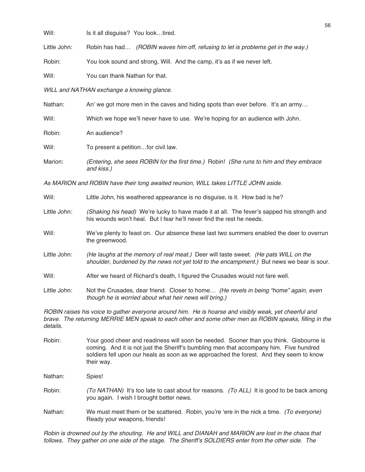Will: Is it all disguise? You look...tired.

Little John: Robin has had... (ROBIN waves him off, refusing to let is problems get in the way.)

Robin: You look sound and strong, Will. And the camp, it's as if we never left.

Will: **You can thank Nathan for that.** 

WILL and NATHAN exchange a knowing glance.

| Nathan: | An' we got more men in the caves and hiding spots than ever before. It's an army                      |  |  |  |
|---------|-------------------------------------------------------------------------------------------------------|--|--|--|
| Will:   | Which we hope we'll never have to use. We're hoping for an audience with John.                        |  |  |  |
| Robin:  | An audience?                                                                                          |  |  |  |
| Will:   | To present a petitionfor civil law.                                                                   |  |  |  |
| Marion: | (Entering, she sees ROBIN for the first time.) Robin! (She runs to him and they embrace<br>and kiss.) |  |  |  |

As MARION and ROBIN have their long awaited reunion, WILL takes LITTLE JOHN aside.

| Will:           | Little John, his weathered appearance is no disguise, is it. How bad is he?                                                                                                      |  |  |  |
|-----------------|----------------------------------------------------------------------------------------------------------------------------------------------------------------------------------|--|--|--|
| Little John:    | (Shaking his head) We're lucky to have made it at all. The fever's sapped his strength and<br>his wounds won't heal. But I fear he'll never find the rest he needs.              |  |  |  |
| Will:           | We've plenty to feast on. Our absence these last two summers enabled the deer to overrun<br>the greenwood.                                                                       |  |  |  |
| Little John:    | (He laughs at the memory of real meat.) Deer will taste sweet. (He pats WILL on the<br>shoulder, burdened by the news not yet told to the encampment.) But news we bear is sour. |  |  |  |
| Will:           | After we heard of Richard's death, I figured the Crusades would not fare well.                                                                                                   |  |  |  |
| ·l ittle .lohn. | Not the Crusades, dear friend. Closer to home<br>(He revels in heing "home" again, even                                                                                          |  |  |  |

Little John: Not the Crusades, dear friend. Closer to home… *(He revels in being "home" again, even* though he is worried about what heir news will bring.)

ROBIN raises his voice to gather everyone around him. He is hoarse and visibly weak, yet cheerful and brave. The returning MERRIE MEN speak to each other and some other men as ROBIN speaks, filling in the details.

- Robin: Your good cheer and readiness will soon be needed. Sooner than you think. Gisbourne is coming. And it is not just the Sheriff's bumbling men that accompany him. Five hundred soldiers fell upon our heals as soon as we approached the forest. And they seem to know their way.
- Nathan: Spies!
- Robin: (To NATHAN) It's too late to cast about for reasons. (To ALL) It is good to be back among you again. I wish I brought better news.
- Nathan: We must meet them or be scattered. Robin, you're 'ere in the nick a time. (To everyone) Ready your weapons, friends!

Robin is drowned out by the shouting. He and WILL and DIANAH and MARION are lost in the chaos that follows. They gather on one side of the stage. The Sheriff's SOLDIERS enter from the other side. The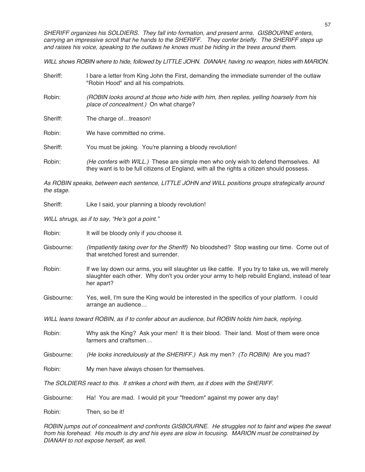SHERIFF organizes his SOLDIERS. They fall into formation, and present arms. GISBOURNE enters, carrying an impressive scroll that he hands to the SHERIFF. They confer briefly. The SHERIFF steps up and raises his voice, speaking to the outlaws he knows must be hiding in the trees around them.

WILL shows ROBIN where to hide, followed by LITTLE JOHN. DIANAH, having no weapon, hides with MARION.

- Sheriff: I bare a letter from King John the First, demanding the immediate surrender of the outlaw "Robin Hood" and all his compatriots.
- Robin: (ROBIN looks around at those who hide with him, then replies, yelling hoarsely from his place of concealment.) On what charge?
- Sheriff: The charge of...treason!

Robin: We have committed no crime.

Sheriff: You must be joking. You're planning a bloody revolution!

Robin: (He confers with WILL.) These are simple men who only wish to defend themselves. All they want is to be full citizens of England, with all the rights a citizen should possess.

As ROBIN speaks, between each sentence, LITTLE JOHN and WILL positions groups strategically around the stage.

Sheriff: Like I said, your planning a bloody revolution!

WILL shrugs, as if to say, "He's got a point."

Robin: It will be bloody only if you choose it.

- Gisbourne: (Impatiently taking over for the Sheriff) No bloodshed? Stop wasting our time. Come out of that wretched forest and surrender.
- Robin: If we lay down our arms, you will slaughter us like cattle. If you try to take us, we will merely slaughter each other. Why don't you order your army to help rebuild England, instead of tear her apart?
- Gisbourne: Yes, well, I'm sure the King would be interested in the specifics of your platform. I could arrange an audience…

WILL leans toward ROBIN, as if to confer about an audience, but ROBIN holds him back, replying.

- Robin: Why ask the King? Ask your men! It is their blood. Their land. Most of them were once farmers and craftsmen…
- Gisbourne: (He looks incredulously at the SHERIFF.) Ask my men? (To ROBIN) Are you mad?
- Robin: My men have always chosen for themselves.

The SOLDIERS react to this. It strikes <sup>a</sup> chord with them, as it does with the SHERIFF.

Gisbourne: Ha! You are mad. I would pit your "freedom" against my power any day!

Robin: Then, so be it!

ROBIN jumps out of concealment and confronts GISBOURNE. He struggles not to faint and wipes the sweat from his forehead. His mouth is dry and his eyes are slow in focusing. MARION must be constrained by DIANAH to not expose herself, as well.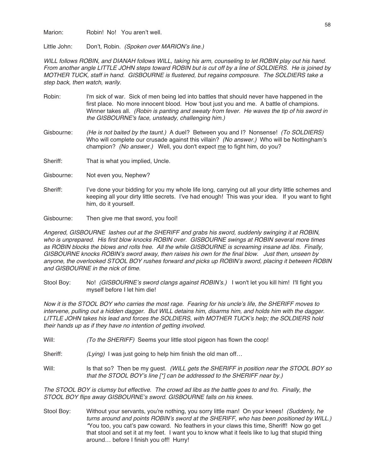Marion: Robin! No! You aren't well.

Little John: Don't, Robin. (Spoken over MARION's line.)

WILL follows ROBIN, and DIANAH follows WILL, taking his arm, counseling to let ROBIN play out his hand. From another angle LITTLE JOHN steps toward ROBIN but is cut off by <sup>a</sup> line of SOLDIERS. He is joined by MOTHER TUCK, staff in hand. GISBOURNE is flustered, but regains composure. The SOLDIERS take <sup>a</sup> step back, then watch, warily.

- Robin: I'm sick of war. Sick of men being led into battles that should never have happened in the first place. No more innocent blood. How ʻbout just you and me. A battle of champions. Winner takes all. (Robin is panting and sweaty from fever. He waves the tip of his sword in the GISBOURNE's face, unsteady, challenging him.)
- Gisbourne: (He is not baited by the taunt.) A duel? Between you and I? Nonsense! (To SOLDIERS) Who will complete our crusade against this villain? (No answer.) Who will be Nottingham's champion? (No answer.) Well, you don't expect me to fight him, do you?
- Sheriff: That is what you implied, Uncle.

Gisbourne: Not even you, Nephew?

- Sheriff: I've done your bidding for you my whole life long, carrying out all your dirty little schemes and keeping all your dirty little secrets. I've had enough! This was your idea. If you want to fight him, do it yourself.
- Gisbourne: Then give me that sword, you fool!

Angered, GISBOURNE lashes out at the SHERIFF and grabs his sword, suddenly swinging it at ROBIN, who is unprepared. His first blow knocks ROBIN over. GISBOURNE swings at ROBIN several more times as ROBIN blocks the blows and rolls free. All the while GISBOURNE is screaming insane ad libs. Finally, GISBOURNE knocks ROBIN's sword away, then raises his own for the final blow. Just then, unseen by anyone, the overlooked STOOL BOY rushes forward and picks up ROBIN's sword, placing it between ROBIN and GISBOURNE in the nick of time.

Stool Boy: No! (GISBOURNE's sword clangs against ROBIN's.) I won't let you kill him! I'll fight you myself before I let him die!

Now it is the STOOL BOY who carries the most rage. Fearing for his uncle's life, the SHERIFF moves to intervene, pulling out <sup>a</sup> hidden dagger. But WILL detains him, disarms him, and holds him with the dagger. LITTLE JOHN takes his lead and forces the SOLDIERS, with MOTHER TUCK's help; the SOLDIERS hold their hands up as if they have no intention of getting involved.

- Will: (To the SHERIFF) Seems your little stool pigeon has flown the coop!
- Sheriff: (Lying) I was just going to help him finish the old man off...
- Will: Is that so? Then be my guest. (WILL gets the SHERIFF in position near the STOOL BOY so that the STOOL BOY's line [\*] can be addressed to the SHERIFF near by.)

The STOOL BOY is clumsy but effective. The crowd ad libs as the battle goes to and fro. Finally, the STOOL BOY flips away GISBOURNE's sword. GISBOURNE falls on his knees.

Stool Boy: Without your servants, you're nothing, you sorry little man! On your knees! (Suddenly, he turns around and points ROBIN's sword at the SHERIFF, who has been positioned by WILL.) \*You too, you cat's paw coward. No feathers in your claws this time, Sheriff! Now go get that stool and set it at my feet. I want you to know what it feels like to lug that stupid thing around… before I finish you off! Hurry!